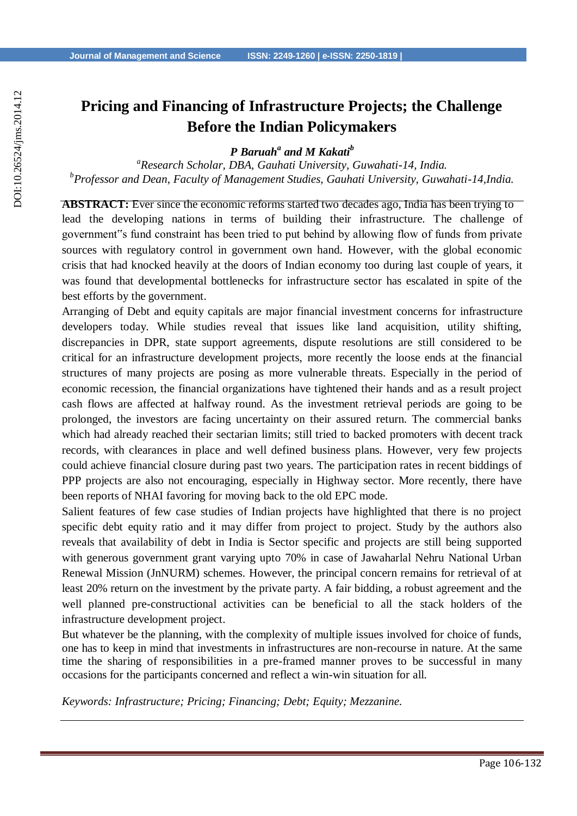# **Pricing and Financing of Infrastructure Projects; the Challenge Before the Indian Policymakers**

*P Baruah<sup>a</sup> and M Kakati<sup>b</sup>*

*a Research Scholar, DBA, Gauhati University, Guwahati-14, India. b Professor and Dean, Faculty of Management Studies, Gauhati University, Guwahati-14,India.*

**ABSTRACT:** Ever since the economic reforms started two decades ago, India has been trying to lead the developing nations in terms of building their infrastructure. The challenge of government"s fund constraint has been tried to put behind by allowing flow of funds from private sources with regulatory control in government own hand. However, with the global economic crisis that had knocked heavily at the doors of Indian economy too during last couple of years, it was found that developmental bottlenecks for infrastructure sector has escalated in spite of the best efforts by the government.

Arranging of Debt and equity capitals are major financial investment concerns for infrastructure developers today. While studies reveal that issues like land acquisition, utility shifting, discrepancies in DPR, state support agreements, dispute resolutions are still considered to be critical for an infrastructure development projects, more recently the loose ends at the financial structures of many projects are posing as more vulnerable threats. Especially in the period of economic recession, the financial organizations have tightened their hands and as a result project cash flows are affected at halfway round. As the investment retrieval periods are going to be prolonged, the investors are facing uncertainty on their assured return. The commercial banks which had already reached their sectarian limits; still tried to backed promoters with decent track records, with clearances in place and well defined business plans. However, very few projects could achieve financial closure during past two years. The participation rates in recent biddings of PPP projects are also not encouraging, especially in Highway sector. More recently, there have been reports of NHAI favoring for moving back to the old EPC mode.

Salient features of few case studies of Indian projects have highlighted that there is no project specific debt equity ratio and it may differ from project to project. Study by the authors also reveals that availability of debt in India is Sector specific and projects are still being supported with generous government grant varying upto 70% in case of Jawaharlal Nehru National Urban Renewal Mission (JnNURM) schemes. However, the principal concern remains for retrieval of at least 20% return on the investment by the private party. A fair bidding, a robust agreement and the well planned pre-constructional activities can be beneficial to all the stack holders of the infrastructure development project.

But whatever be the planning, with the complexity of multiple issues involved for choice of funds, one has to keep in mind that investments in infrastructures are non-recourse in nature. At the same time the sharing of responsibilities in a pre-framed manner proves to be successful in many occasions for the participants concerned and reflect a win-win situation for all.

*Keywords: Infrastructure; Pricing; Financing; Debt; Equity; Mezzanine.*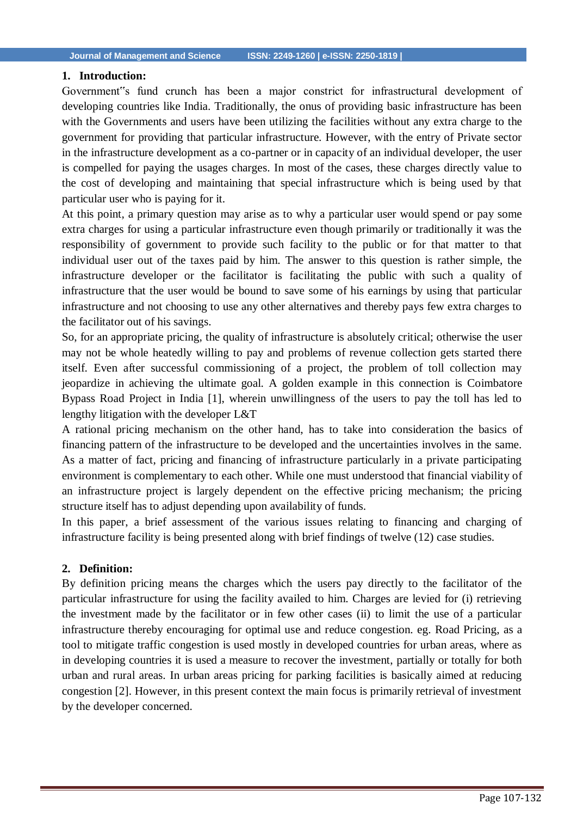#### **1. Introduction:**

Government"s fund crunch has been a major constrict for infrastructural development of developing countries like India. Traditionally, the onus of providing basic infrastructure has been with the Governments and users have been utilizing the facilities without any extra charge to the government for providing that particular infrastructure. However, with the entry of Private sector in the infrastructure development as a co-partner or in capacity of an individual developer, the user is compelled for paying the usages charges. In most of the cases, these charges directly value to the cost of developing and maintaining that special infrastructure which is being used by that particular user who is paying for it.

At this point, a primary question may arise as to why a particular user would spend or pay some extra charges for using a particular infrastructure even though primarily or traditionally it was the responsibility of government to provide such facility to the public or for that matter to that individual user out of the taxes paid by him. The answer to this question is rather simple, the infrastructure developer or the facilitator is facilitating the public with such a quality of infrastructure that the user would be bound to save some of his earnings by using that particular infrastructure and not choosing to use any other alternatives and thereby pays few extra charges to the facilitator out of his savings.

So, for an appropriate pricing, the quality of infrastructure is absolutely critical; otherwise the user may not be whole heatedly willing to pay and problems of revenue collection gets started there itself. Even after successful commissioning of a project, the problem of toll collection may jeopardize in achieving the ultimate goal. A golden example in this connection is Coimbatore Bypass Road Project in India [1], wherein unwillingness of the users to pay the toll has led to lengthy litigation with the developer L&T

A rational pricing mechanism on the other hand, has to take into consideration the basics of financing pattern of the infrastructure to be developed and the uncertainties involves in the same. As a matter of fact, pricing and financing of infrastructure particularly in a private participating environment is complementary to each other. While one must understood that financial viability of an infrastructure project is largely dependent on the effective pricing mechanism; the pricing structure itself has to adjust depending upon availability of funds.

In this paper, a brief assessment of the various issues relating to financing and charging of infrastructure facility is being presented along with brief findings of twelve (12) case studies.

#### **2. Definition:**

By definition pricing means the charges which the users pay directly to the facilitator of the particular infrastructure for using the facility availed to him. Charges are levied for (i) retrieving the investment made by the facilitator or in few other cases (ii) to limit the use of a particular infrastructure thereby encouraging for optimal use and reduce congestion. eg. Road Pricing, as a tool to mitigate traffic congestion is used mostly in developed countries for urban areas, where as in developing countries it is used a measure to recover the investment, partially or totally for both urban and rural areas. In urban areas pricing for parking facilities is basically aimed at reducing congestion [2]. However, in this present context the main focus is primarily retrieval of investment by the developer concerned.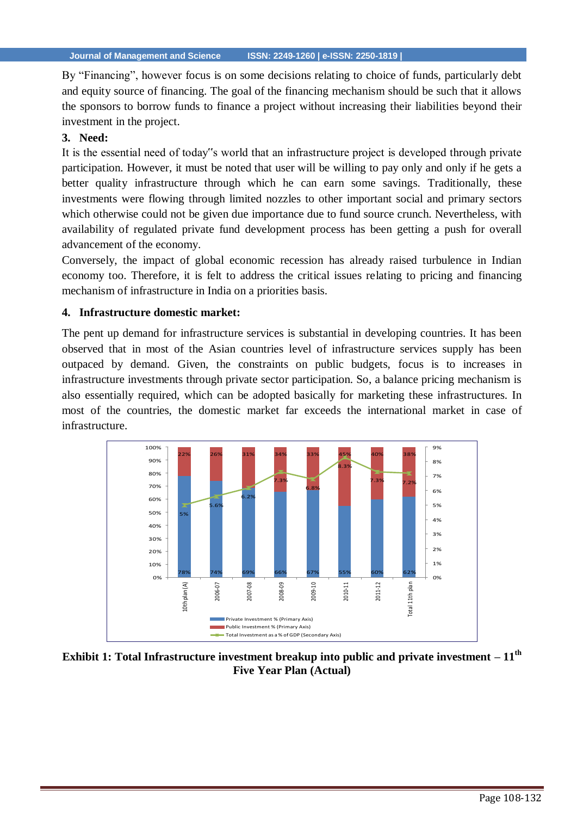By "Financing", however focus is on some decisions relating to choice of funds, particularly debt and equity source of financing. The goal of the financing mechanism should be such that it allows the sponsors to borrow funds to finance a project without increasing their liabilities beyond their investment in the project.

# **3. Need:**

It is the essential need of today"s world that an infrastructure project is developed through private participation. However, it must be noted that user will be willing to pay only and only if he gets a better quality infrastructure through which he can earn some savings. Traditionally, these investments were flowing through limited nozzles to other important social and primary sectors which otherwise could not be given due importance due to fund source crunch. Nevertheless, with availability of regulated private fund development process has been getting a push for overall advancement of the economy.

Conversely, the impact of global economic recession has already raised turbulence in Indian economy too. Therefore, it is felt to address the critical issues relating to pricing and financing mechanism of infrastructure in India on a priorities basis.

#### **4. Infrastructure domestic market:**

The pent up demand for infrastructure services is substantial in developing countries. It has been observed that in most of the Asian countries level of infrastructure services supply has been outpaced by demand. Given, the constraints on public budgets, focus is to increases in infrastructure investments through private sector participation. So, a balance pricing mechanism is also essentially required, which can be adopted basically for marketing these infrastructures. In most of the countries, the domestic market far exceeds the international market in case of infrastructure.



**Exhibit 1: Total Infrastructure investment breakup into public and private investment – 11th Five Year Plan (Actual)**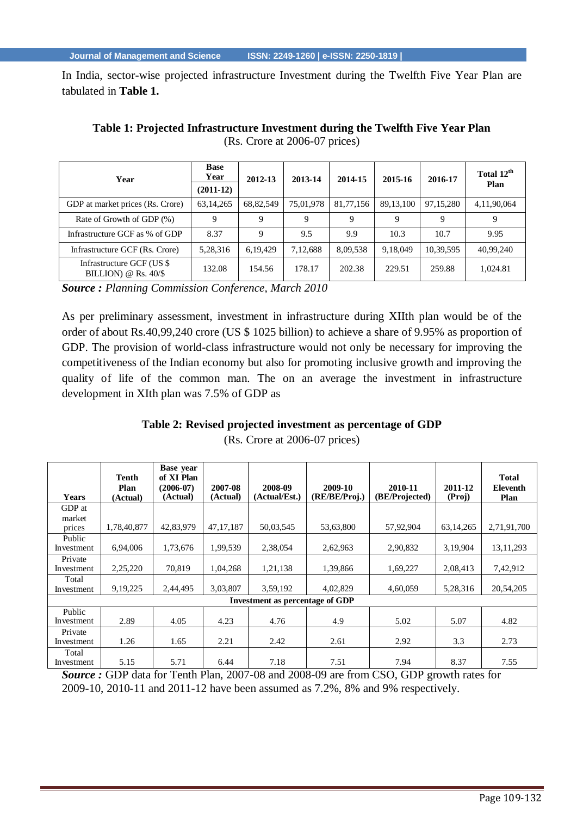In India, sector-wise projected infrastructure Investment during the Twelfth Five Year Plan are tabulated in **Table 1.**

| Year                                                | <b>Base</b><br>Year | 2012-13    | 2013-14   | 2014-15   | 2015-16     | 2016-17     | Total 12 <sup>th</sup><br>Plan |
|-----------------------------------------------------|---------------------|------------|-----------|-----------|-------------|-------------|--------------------------------|
|                                                     | $(2011-12)$         |            |           |           |             |             |                                |
| GDP at market prices (Rs. Crore)                    | 63, 14, 265         | 68,82,549  | 75,01,978 | 81,77,156 | 89, 13, 100 | 97, 15, 280 | 4,11,90,064                    |
| Rate of Growth of GDP (%)                           | 9                   | 9          | 9         | 9         | 9           | 9           | 9                              |
| Infrastructure GCF as % of GDP                      | 8.37                | 9          | 9.5       | 9.9       | 10.3        | 10.7        | 9.95                           |
| Infrastructure GCF (Rs. Crore)                      | 5,28,316            | 6, 19, 429 | 7,12,688  | 8,09,538  | 9,18,049    | 10,39,595   | 40,99,240                      |
| Infrastructure GCF (US \$<br>BILLION) @ $Rs. 40/\$$ | 132.08              | 154.56     | 178.17    | 202.38    | 229.51      | 259.88      | 1,024.81                       |

**Table 1: Projected Infrastructure Investment during the Twelfth Five Year Plan** (Rs. Crore at 2006-07 prices)

*Source : Planning Commission Conference, March 2010*

As per preliminary assessment, investment in infrastructure during XIIth plan would be of the order of about Rs.40,99,240 crore (US \$ 1025 billion) to achieve a share of 9.95% as proportion of GDP. The provision of world-class infrastructure would not only be necessary for improving the competitiveness of the Indian economy but also for promoting inclusive growth and improving the quality of life of the common man. The on an average the investment in infrastructure development in XIth plan was 7.5% of GDP as

# **Table 2: Revised projected investment as percentage of GDP**

(Rs. Crore at 2006-07 prices)

| <b>Years</b>                           | Tenth<br>Plan<br>(Actual) | <b>Base</b> year<br>of XI Plan<br>$(2006-07)$<br>(Actual) | 2007-08<br>(Actual) | 2008-09<br>(Actual/Est.) | 2009-10<br>(RE/BE/Proj.) | 2010-11<br>(BE/Projected) | 2011-12<br>(Proj) | <b>Total</b><br><b>Eleventh</b><br>Plan |
|----------------------------------------|---------------------------|-----------------------------------------------------------|---------------------|--------------------------|--------------------------|---------------------------|-------------------|-----------------------------------------|
| GDP at                                 |                           |                                                           |                     |                          |                          |                           |                   |                                         |
| market<br>prices                       | 1,78,40,877               | 42.83.979                                                 | 47.17.187           | 50,03,545                | 53,63,800                | 57,92,904                 | 63, 14, 265       | 2,71,91,700                             |
| Public<br>Investment                   | 6,94,006                  | 1,73,676                                                  | 1,99,539            | 2,38,054                 | 2,62,963                 | 2,90,832                  | 3,19,904          | 13, 11, 293                             |
| Private<br>Investment                  | 2,25,220                  | 70.819                                                    | 1,04,268            | 1,21,138                 | 1,39,866                 | 1,69,227                  | 2,08,413          | 7,42,912                                |
| Total<br>Investment                    | 9, 19, 225                | 2,44,495                                                  | 3,03,807            | 3,59,192                 | 4,02,829                 | 4,60,059                  | 5,28,316          | 20,54,205                               |
| <b>Investment as percentage of GDP</b> |                           |                                                           |                     |                          |                          |                           |                   |                                         |
| Public<br>Investment                   | 2.89                      | 4.05                                                      | 4.23                | 4.76                     | 4.9                      | 5.02                      | 5.07              | 4.82                                    |
| Private<br>Investment                  | 1.26                      | 1.65                                                      | 2.21                | 2.42                     | 2.61                     | 2.92                      | 3.3               | 2.73                                    |
| Total<br>Investment                    | 5.15                      | 5.71                                                      | 6.44                | 7.18                     | 7.51                     | 7.94                      | 8.37              | 7.55                                    |

*Source :* GDP data for Tenth Plan, 2007-08 and 2008-09 are from CSO, GDP growth rates for 2009-10, 2010-11 and 2011-12 have been assumed as 7.2%, 8% and 9% respectively.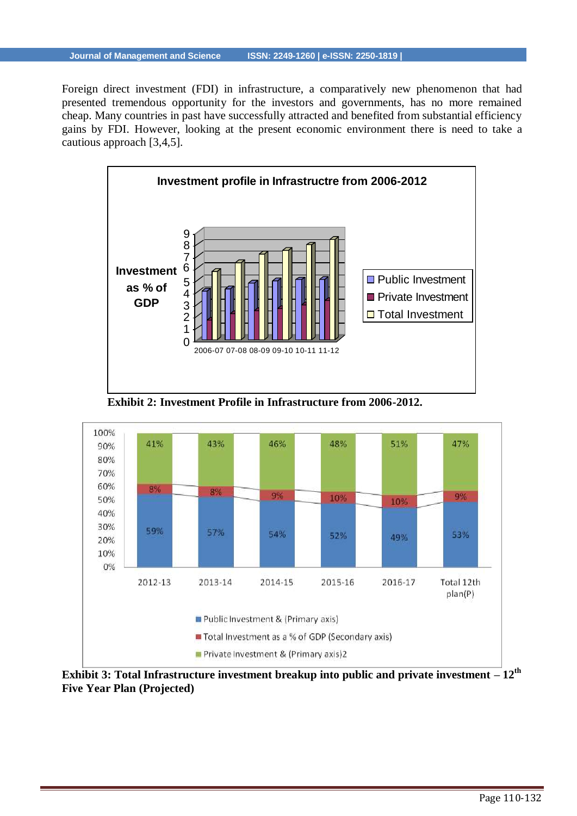Foreign direct investment (FDI) in infrastructure, a comparatively new phenomenon that had presented tremendous opportunity for the investors and governments, has no more remained cheap. Many countries in past have successfully attracted and benefited from substantial efficiency gains by FDI. However, looking at the present economic environment there is need to take a cautious approach [3,4,5].



**Exhibit 2: Investment Profile in Infrastructure from 2006-2012.**



**Exhibit 3: Total Infrastructure investment breakup into public and private investment – 12th Five Year Plan (Projected)**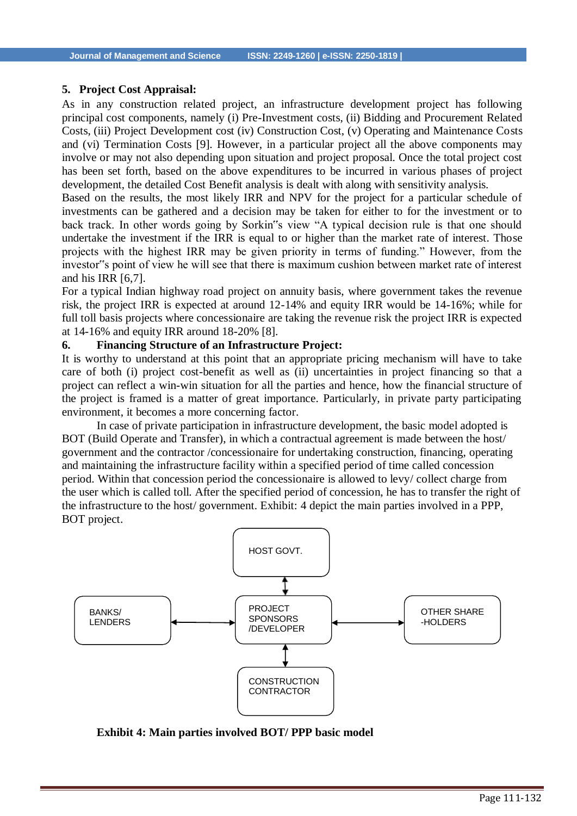#### **5. Project Cost Appraisal:**

As in any construction related project, an infrastructure development project has following principal cost components, namely (i) Pre-Investment costs, (ii) Bidding and Procurement Related Costs, (iii) Project Development cost (iv) Construction Cost, (v) Operating and Maintenance Costs and (vi) Termination Costs [9]. However, in a particular project all the above components may involve or may not also depending upon situation and project proposal. Once the total project cost has been set forth, based on the above expenditures to be incurred in various phases of project development, the detailed Cost Benefit analysis is dealt with along with sensitivity analysis.

Based on the results, the most likely IRR and NPV for the project for a particular schedule of investments can be gathered and a decision may be taken for either to for the investment or to back track. In other words going by Sorkin"s view "A typical decision rule is that one should undertake the investment if the IRR is equal to or higher than the market rate of interest. Those projects with the highest IRR may be given priority in terms of funding." However, from the investor"s point of view he will see that there is maximum cushion between market rate of interest and his IRR [6,7].

For a typical Indian highway road project on annuity basis, where government takes the revenue risk, the project IRR is expected at around 12-14% and equity IRR would be 14-16%; while for full toll basis projects where concessionaire are taking the revenue risk the project IRR is expected at 14-16% and equity IRR around 18-20% [8].

#### **6. Financing Structure of an Infrastructure Project:**

It is worthy to understand at this point that an appropriate pricing mechanism will have to take care of both (i) project cost-benefit as well as (ii) uncertainties in project financing so that a project can reflect a win-win situation for all the parties and hence, how the financial structure of the project is framed is a matter of great importance. Particularly, in private party participating environment, it becomes a more concerning factor.

In case of private participation in infrastructure development, the basic model adopted is BOT (Build Operate and Transfer), in which a contractual agreement is made between the host/ government and the contractor /concessionaire for undertaking construction, financing, operating and maintaining the infrastructure facility within a specified period of time called concession period. Within that concession period the concessionaire is allowed to levy/ collect charge from the user which is called toll. After the specified period of concession, he has to transfer the right of the infrastructure to the host/ government. Exhibit: 4 depict the main parties involved in a PPP, BOT project.



**Exhibit 4: Main parties involved BOT/ PPP basic model**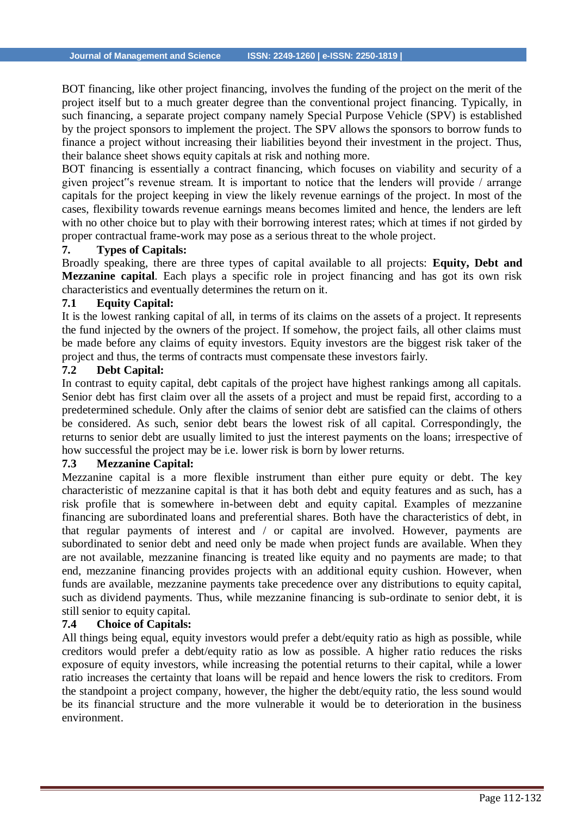BOT financing, like other project financing, involves the funding of the project on the merit of the project itself but to a much greater degree than the conventional project financing. Typically, in such financing, a separate project company namely Special Purpose Vehicle (SPV) is established by the project sponsors to implement the project. The SPV allows the sponsors to borrow funds to finance a project without increasing their liabilities beyond their investment in the project. Thus, their balance sheet shows equity capitals at risk and nothing more.

BOT financing is essentially a contract financing, which focuses on viability and security of a given project"s revenue stream. It is important to notice that the lenders will provide / arrange capitals for the project keeping in view the likely revenue earnings of the project. In most of the cases, flexibility towards revenue earnings means becomes limited and hence, the lenders are left with no other choice but to play with their borrowing interest rates; which at times if not girded by proper contractual frame-work may pose as a serious threat to the whole project.

# **7. Types of Capitals:**

Broadly speaking, there are three types of capital available to all projects: **Equity, Debt and Mezzanine capital**. Each plays a specific role in project financing and has got its own risk characteristics and eventually determines the return on it.

#### **7.1 Equity Capital:**

It is the lowest ranking capital of all, in terms of its claims on the assets of a project. It represents the fund injected by the owners of the project. If somehow, the project fails, all other claims must be made before any claims of equity investors. Equity investors are the biggest risk taker of the project and thus, the terms of contracts must compensate these investors fairly.

#### **7.2 Debt Capital:**

In contrast to equity capital, debt capitals of the project have highest rankings among all capitals. Senior debt has first claim over all the assets of a project and must be repaid first, according to a predetermined schedule. Only after the claims of senior debt are satisfied can the claims of others be considered. As such, senior debt bears the lowest risk of all capital. Correspondingly, the returns to senior debt are usually limited to just the interest payments on the loans; irrespective of how successful the project may be i.e. lower risk is born by lower returns.

#### **7.3 Mezzanine Capital:**

Mezzanine capital is a more flexible instrument than either pure equity or debt. The key characteristic of mezzanine capital is that it has both debt and equity features and as such, has a risk profile that is somewhere in-between debt and equity capital. Examples of mezzanine financing are subordinated loans and preferential shares. Both have the characteristics of debt, in that regular payments of interest and / or capital are involved. However, payments are subordinated to senior debt and need only be made when project funds are available. When they are not available, mezzanine financing is treated like equity and no payments are made; to that end, mezzanine financing provides projects with an additional equity cushion. However, when funds are available, mezzanine payments take precedence over any distributions to equity capital, such as dividend payments. Thus, while mezzanine financing is sub-ordinate to senior debt, it is still senior to equity capital.

# **7.4 Choice of Capitals:**

All things being equal, equity investors would prefer a debt/equity ratio as high as possible, while creditors would prefer a debt/equity ratio as low as possible. A higher ratio reduces the risks exposure of equity investors, while increasing the potential returns to their capital, while a lower ratio increases the certainty that loans will be repaid and hence lowers the risk to creditors. From the standpoint a project company, however, the higher the debt/equity ratio, the less sound would be its financial structure and the more vulnerable it would be to deterioration in the business environment.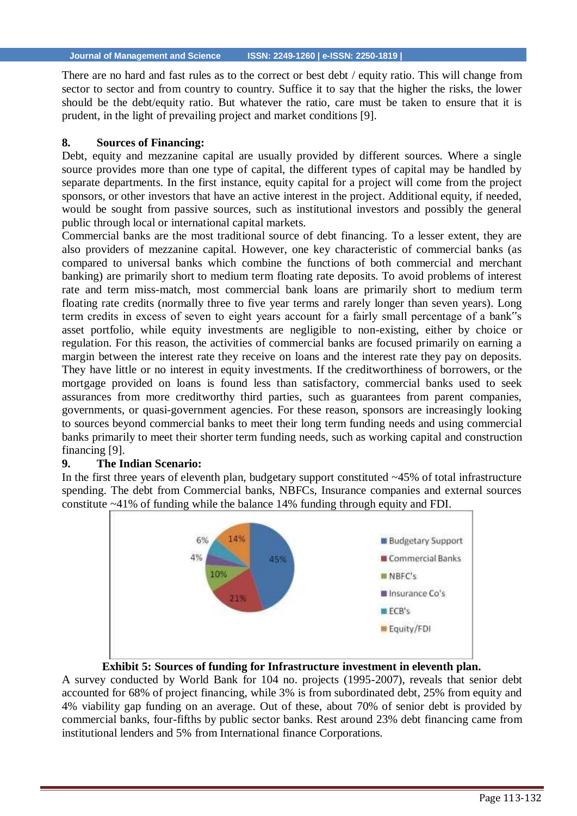There are no hard and fast rules as to the correct or best debt / equity ratio. This will change from sector to sector and from country to country. Suffice it to say that the higher the risks, the lower should be the debt/equity ratio. But whatever the ratio, care must be taken to ensure that it is prudent, in the light of prevailing project and market conditions [9].

# **8. Sources of Financing:**

Debt, equity and mezzanine capital are usually provided by different sources. Where a single source provides more than one type of capital, the different types of capital may be handled by separate departments. In the first instance, equity capital for a project will come from the project sponsors, or other investors that have an active interest in the project. Additional equity, if needed, would be sought from passive sources, such as institutional investors and possibly the general public through local or international capital markets.

Commercial banks are the most traditional source of debt financing. To a lesser extent, they are also providers of mezzanine capital. However, one key characteristic of commercial banks (as compared to universal banks which combine the functions of both commercial and merchant banking) are primarily short to medium term floating rate deposits. To avoid problems of interest rate and term miss-match, most commercial bank loans are primarily short to medium term floating rate credits (normally three to five year terms and rarely longer than seven years). Long term credits in excess of seven to eight years account for a fairly small percentage of a bank"s asset portfolio, while equity investments are negligible to non-existing, either by choice or regulation. For this reason, the activities of commercial banks are focused primarily on earning a margin between the interest rate they receive on loans and the interest rate they pay on deposits. They have little or no interest in equity investments. If the creditworthiness of borrowers, or the mortgage provided on loans is found less than satisfactory, commercial banks used to seek assurances from more creditworthy third parties, such as guarantees from parent companies, governments, or quasi-government agencies. For these reason, sponsors are increasingly looking to sources beyond commercial banks to meet their long term funding needs and using commercial banks primarily to meet their shorter term funding needs, such as working capital and construction financing [9].

# **9. The Indian Scenario:**

In the first three years of eleventh plan, budgetary support constituted ~45% of total infrastructure spending. The debt from Commercial banks, NBFCs, Insurance companies and external sources constitute ~41% of funding while the balance 14% funding through equity and FDI.



# **Exhibit 5: Sources of funding for Infrastructure investment in eleventh plan.**

A survey conducted by World Bank for 104 no. projects (1995-2007), reveals that senior debt accounted for 68% of project financing, while 3% is from subordinated debt, 25% from equity and 4% viability gap funding on an average. Out of these, about 70% of senior debt is provided by commercial banks, four-fifths by public sector banks. Rest around 23% debt financing came from institutional lenders and 5% from International finance Corporations.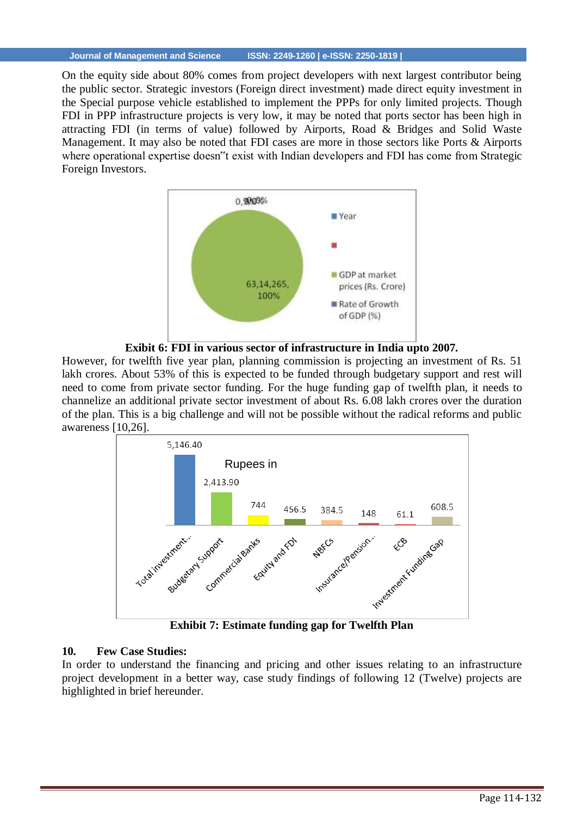On the equity side about 80% comes from project developers with next largest contributor being the public sector. Strategic investors (Foreign direct investment) made direct equity investment in the Special purpose vehicle established to implement the PPPs for only limited projects. Though FDI in PPP infrastructure projects is very low, it may be noted that ports sector has been high in attracting FDI (in terms of value) followed by Airports, Road & Bridges and Solid Waste Management. It may also be noted that FDI cases are more in those sectors like Ports & Airports where operational expertise doesn"t exist with Indian developers and FDI has come from Strategic Foreign Investors.





However, for twelfth five year plan, planning commission is projecting an investment of Rs. 51 lakh crores. About 53% of this is expected to be funded through budgetary support and rest will need to come from private sector funding. For the huge funding gap of twelfth plan, it needs to channelize an additional private sector investment of about Rs. 6.08 lakh crores over the duration of the plan. This is a big challenge and will not be possible without the radical reforms and public awareness [10,26].



**Exhibit 7: Estimate funding gap for Twelfth Plan**

# **10. Few Case Studies:**

In order to understand the financing and pricing and other issues relating to an infrastructure project development in a better way, case study findings of following 12 (Twelve) projects are highlighted in brief hereunder.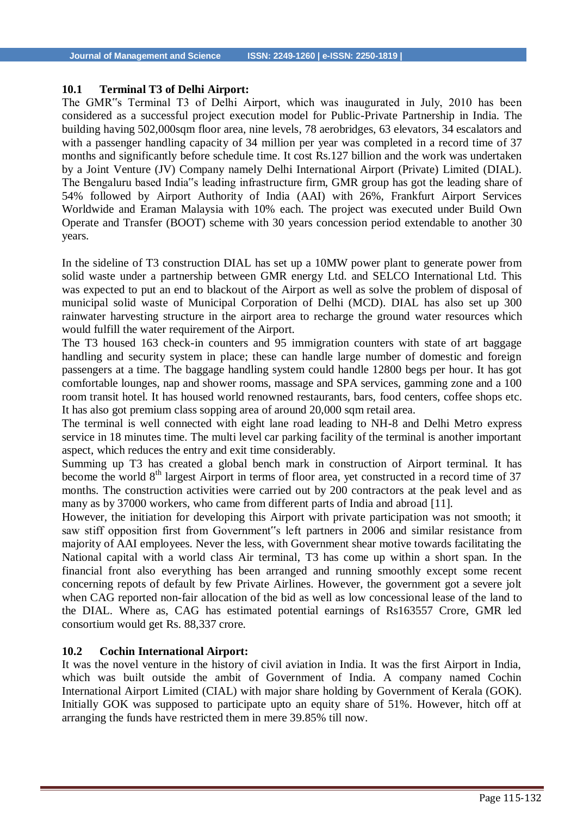#### **10.1 Terminal T3 of Delhi Airport:**

The GMR"s Terminal T3 of Delhi Airport, which was inaugurated in July, 2010 has been considered as a successful project execution model for Public-Private Partnership in India. The building having 502,000sqm floor area, nine levels, 78 aerobridges, 63 elevators, 34 escalators and with a passenger handling capacity of 34 million per year was completed in a record time of 37 months and significantly before schedule time. It cost Rs.127 billion and the work was undertaken by a Joint Venture (JV) Company namely Delhi International Airport (Private) Limited (DIAL). The Bengaluru based India"s leading infrastructure firm, GMR group has got the leading share of 54% followed by Airport Authority of India (AAI) with 26%, Frankfurt Airport Services Worldwide and Eraman Malaysia with 10% each. The project was executed under Build Own Operate and Transfer (BOOT) scheme with 30 years concession period extendable to another 30 years.

In the sideline of T3 construction DIAL has set up a 10MW power plant to generate power from solid waste under a partnership between GMR energy Ltd. and SELCO International Ltd. This was expected to put an end to blackout of the Airport as well as solve the problem of disposal of municipal solid waste of Municipal Corporation of Delhi (MCD). DIAL has also set up 300 rainwater harvesting structure in the airport area to recharge the ground water resources which would fulfill the water requirement of the Airport.

The T3 housed 163 check-in counters and 95 immigration counters with state of art baggage handling and security system in place; these can handle large number of domestic and foreign passengers at a time. The baggage handling system could handle 12800 begs per hour. It has got comfortable lounges, nap and shower rooms, massage and SPA services, gamming zone and a 100 room transit hotel. It has housed world renowned restaurants, bars, food centers, coffee shops etc. It has also got premium class sopping area of around 20,000 sqm retail area.

The terminal is well connected with eight lane road leading to NH-8 and Delhi Metro express service in 18 minutes time. The multi level car parking facility of the terminal is another important aspect, which reduces the entry and exit time considerably.

Summing up T3 has created a global bench mark in construction of Airport terminal. It has become the world  $8<sup>th</sup>$  largest Airport in terms of floor area, yet constructed in a record time of 37 months. The construction activities were carried out by 200 contractors at the peak level and as many as by 37000 workers, who came from different parts of India and abroad [11].

However, the initiation for developing this Airport with private participation was not smooth; it saw stiff opposition first from Government"s left partners in 2006 and similar resistance from majority of AAI employees. Never the less, with Government shear motive towards facilitating the National capital with a world class Air terminal, T3 has come up within a short span. In the financial front also everything has been arranged and running smoothly except some recent concerning repots of default by few Private Airlines. However, the government got a severe jolt when CAG reported non-fair allocation of the bid as well as low concessional lease of the land to the DIAL. Where as, CAG has estimated potential earnings of Rs163557 Crore, GMR led consortium would get Rs. 88,337 crore.

#### **10.2 Cochin International Airport:**

It was the novel venture in the history of civil aviation in India. It was the first Airport in India, which was built outside the ambit of Government of India. A company named Cochin International Airport Limited (CIAL) with major share holding by Government of Kerala (GOK). Initially GOK was supposed to participate upto an equity share of 51%. However, hitch off at arranging the funds have restricted them in mere 39.85% till now.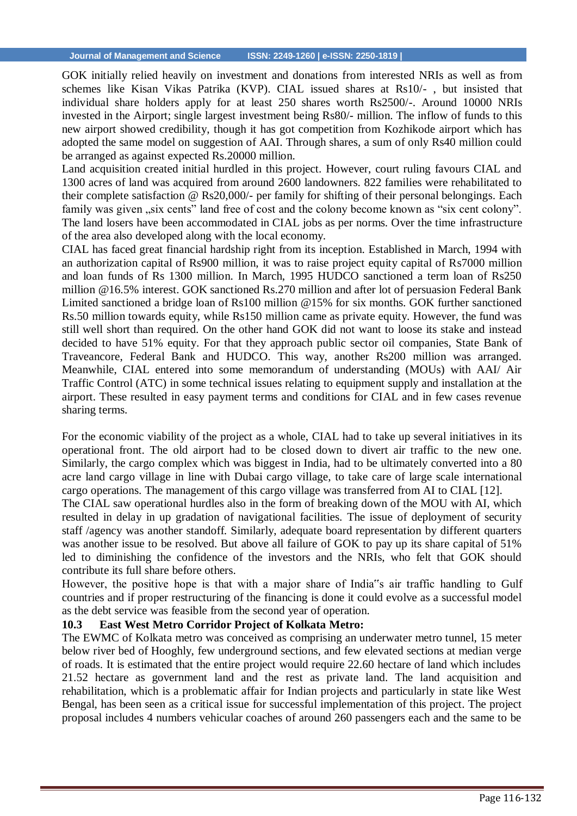GOK initially relied heavily on investment and donations from interested NRIs as well as from schemes like Kisan Vikas Patrika (KVP). CIAL issued shares at Rs10/- , but insisted that individual share holders apply for at least 250 shares worth Rs2500/-. Around 10000 NRIs invested in the Airport; single largest investment being Rs80/- million. The inflow of funds to this new airport showed credibility, though it has got competition from Kozhikode airport which has adopted the same model on suggestion of AAI. Through shares, a sum of only Rs40 million could be arranged as against expected Rs.20000 million.

Land acquisition created initial hurdled in this project. However, court ruling favours CIAL and 1300 acres of land was acquired from around 2600 landowners. 822 families were rehabilitated to their complete satisfaction @ Rs20,000/- per family for shifting of their personal belongings. Each family was given ..six cents" land free of cost and the colony become known as "six cent colony". The land losers have been accommodated in CIAL jobs as per norms. Over the time infrastructure of the area also developed along with the local economy.

CIAL has faced great financial hardship right from its inception. Established in March, 1994 with an authorization capital of Rs900 million, it was to raise project equity capital of Rs7000 million and loan funds of Rs 1300 million. In March, 1995 HUDCO sanctioned a term loan of Rs250 million @16.5% interest. GOK sanctioned Rs.270 million and after lot of persuasion Federal Bank Limited sanctioned a bridge loan of Rs100 million @15% for six months. GOK further sanctioned Rs.50 million towards equity, while Rs150 million came as private equity. However, the fund was still well short than required. On the other hand GOK did not want to loose its stake and instead decided to have 51% equity. For that they approach public sector oil companies, State Bank of Traveancore, Federal Bank and HUDCO. This way, another Rs200 million was arranged. Meanwhile, CIAL entered into some memorandum of understanding (MOUs) with AAI/ Air Traffic Control (ATC) in some technical issues relating to equipment supply and installation at the airport. These resulted in easy payment terms and conditions for CIAL and in few cases revenue sharing terms.

For the economic viability of the project as a whole, CIAL had to take up several initiatives in its operational front. The old airport had to be closed down to divert air traffic to the new one. Similarly, the cargo complex which was biggest in India, had to be ultimately converted into a 80 acre land cargo village in line with Dubai cargo village, to take care of large scale international cargo operations. The management of this cargo village was transferred from AI to CIAL [12].

The CIAL saw operational hurdles also in the form of breaking down of the MOU with AI, which resulted in delay in up gradation of navigational facilities. The issue of deployment of security staff /agency was another standoff. Similarly, adequate board representation by different quarters was another issue to be resolved. But above all failure of GOK to pay up its share capital of 51% led to diminishing the confidence of the investors and the NRIs, who felt that GOK should contribute its full share before others.

However, the positive hope is that with a major share of India"s air traffic handling to Gulf countries and if proper restructuring of the financing is done it could evolve as a successful model as the debt service was feasible from the second year of operation.

#### **10.3 East West Metro Corridor Project of Kolkata Metro:**

The EWMC of Kolkata metro was conceived as comprising an underwater metro tunnel, 15 meter below river bed of Hooghly, few underground sections, and few elevated sections at median verge of roads. It is estimated that the entire project would require 22.60 hectare of land which includes 21.52 hectare as government land and the rest as private land. The land acquisition and rehabilitation, which is a problematic affair for Indian projects and particularly in state like West Bengal, has been seen as a critical issue for successful implementation of this project. The project proposal includes 4 numbers vehicular coaches of around 260 passengers each and the same to be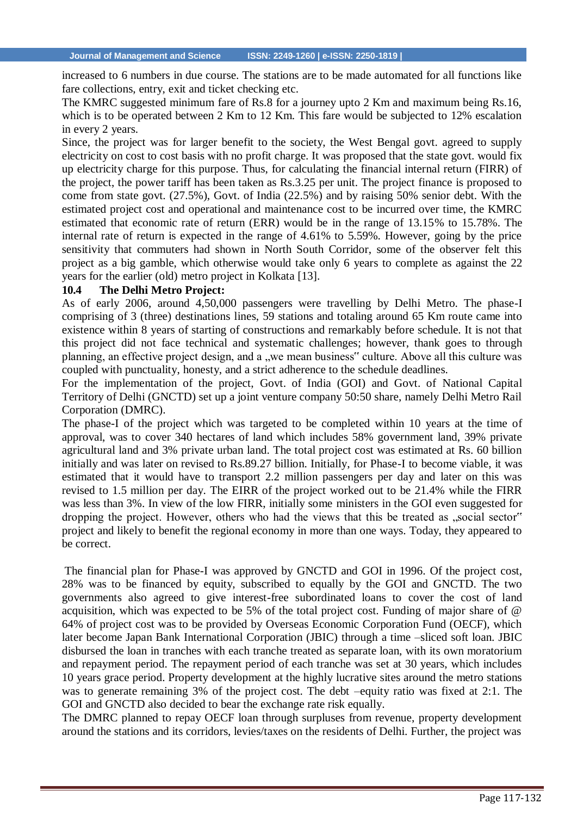increased to 6 numbers in due course. The stations are to be made automated for all functions like fare collections, entry, exit and ticket checking etc.

The KMRC suggested minimum fare of Rs.8 for a journey upto 2 Km and maximum being Rs.16, which is to be operated between 2 Km to 12 Km. This fare would be subjected to 12% escalation in every 2 years.

Since, the project was for larger benefit to the society, the West Bengal govt. agreed to supply electricity on cost to cost basis with no profit charge. It was proposed that the state govt. would fix up electricity charge for this purpose. Thus, for calculating the financial internal return (FIRR) of the project, the power tariff has been taken as Rs.3.25 per unit. The project finance is proposed to come from state govt. (27.5%), Govt. of India (22.5%) and by raising 50% senior debt. With the estimated project cost and operational and maintenance cost to be incurred over time, the KMRC estimated that economic rate of return (ERR) would be in the range of 13.15% to 15.78%. The internal rate of return is expected in the range of 4.61% to 5.59%. However, going by the price sensitivity that commuters had shown in North South Corridor, some of the observer felt this project as a big gamble, which otherwise would take only 6 years to complete as against the 22 years for the earlier (old) metro project in Kolkata [13].

#### **10.4 The Delhi Metro Project:**

As of early 2006, around 4,50,000 passengers were travelling by Delhi Metro. The phase-I comprising of 3 (three) destinations lines, 59 stations and totaling around 65 Km route came into existence within 8 years of starting of constructions and remarkably before schedule. It is not that this project did not face technical and systematic challenges; however, thank goes to through planning, an effective project design, and a "we mean business" culture. Above all this culture was coupled with punctuality, honesty, and a strict adherence to the schedule deadlines.

For the implementation of the project, Govt. of India (GOI) and Govt. of National Capital Territory of Delhi (GNCTD) set up a joint venture company 50:50 share, namely Delhi Metro Rail Corporation (DMRC).

The phase-I of the project which was targeted to be completed within 10 years at the time of approval, was to cover 340 hectares of land which includes 58% government land, 39% private agricultural land and 3% private urban land. The total project cost was estimated at Rs. 60 billion initially and was later on revised to Rs.89.27 billion. Initially, for Phase-I to become viable, it was estimated that it would have to transport 2.2 million passengers per day and later on this was revised to 1.5 million per day. The EIRR of the project worked out to be 21.4% while the FIRR was less than 3%. In view of the low FIRR, initially some ministers in the GOI even suggested for dropping the project. However, others who had the views that this be treated as "social sector" project and likely to benefit the regional economy in more than one ways. Today, they appeared to be correct.

The financial plan for Phase-I was approved by GNCTD and GOI in 1996. Of the project cost, 28% was to be financed by equity, subscribed to equally by the GOI and GNCTD. The two governments also agreed to give interest-free subordinated loans to cover the cost of land acquisition, which was expected to be 5% of the total project cost. Funding of major share of @ 64% of project cost was to be provided by Overseas Economic Corporation Fund (OECF), which later become Japan Bank International Corporation (JBIC) through a time –sliced soft loan. JBIC disbursed the loan in tranches with each tranche treated as separate loan, with its own moratorium and repayment period. The repayment period of each tranche was set at 30 years, which includes 10 years grace period. Property development at the highly lucrative sites around the metro stations was to generate remaining 3% of the project cost. The debt –equity ratio was fixed at 2:1. The GOI and GNCTD also decided to bear the exchange rate risk equally.

The DMRC planned to repay OECF loan through surpluses from revenue, property development around the stations and its corridors, levies/taxes on the residents of Delhi. Further, the project was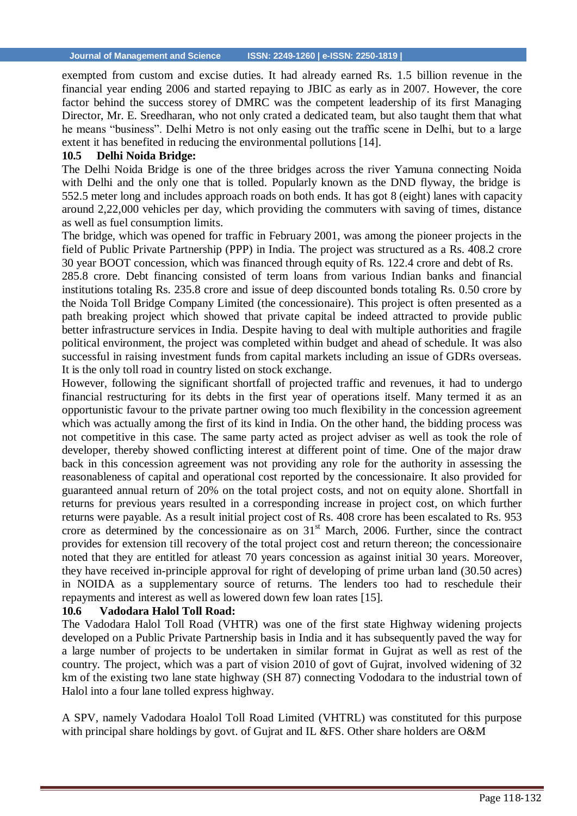exempted from custom and excise duties. It had already earned Rs. 1.5 billion revenue in the financial year ending 2006 and started repaying to JBIC as early as in 2007. However, the core factor behind the success storey of DMRC was the competent leadership of its first Managing Director, Mr. E. Sreedharan, who not only crated a dedicated team, but also taught them that what he means "business". Delhi Metro is not only easing out the traffic scene in Delhi, but to a large extent it has benefited in reducing the environmental pollutions [14].

#### **10.5 Delhi Noida Bridge:**

The Delhi Noida Bridge is one of the three bridges across the river Yamuna connecting Noida with Delhi and the only one that is tolled. Popularly known as the DND flyway, the bridge is 552.5 meter long and includes approach roads on both ends. It has got 8 (eight) lanes with capacity around 2,22,000 vehicles per day, which providing the commuters with saving of times, distance as well as fuel consumption limits.

The bridge, which was opened for traffic in February 2001, was among the pioneer projects in the field of Public Private Partnership (PPP) in India. The project was structured as a Rs. 408.2 crore 30 year BOOT concession, which was financed through equity of Rs. 122.4 crore and debt of Rs.

285.8 crore. Debt financing consisted of term loans from various Indian banks and financial institutions totaling Rs. 235.8 crore and issue of deep discounted bonds totaling Rs. 0.50 crore by the Noida Toll Bridge Company Limited (the concessionaire). This project is often presented as a path breaking project which showed that private capital be indeed attracted to provide public better infrastructure services in India. Despite having to deal with multiple authorities and fragile political environment, the project was completed within budget and ahead of schedule. It was also successful in raising investment funds from capital markets including an issue of GDRs overseas. It is the only toll road in country listed on stock exchange.

However, following the significant shortfall of projected traffic and revenues, it had to undergo financial restructuring for its debts in the first year of operations itself. Many termed it as an opportunistic favour to the private partner owing too much flexibility in the concession agreement which was actually among the first of its kind in India. On the other hand, the bidding process was not competitive in this case. The same party acted as project adviser as well as took the role of developer, thereby showed conflicting interest at different point of time. One of the major draw back in this concession agreement was not providing any role for the authority in assessing the reasonableness of capital and operational cost reported by the concessionaire. It also provided for guaranteed annual return of 20% on the total project costs, and not on equity alone. Shortfall in returns for previous years resulted in a corresponding increase in project cost, on which further returns were payable. As a result initial project cost of Rs. 408 crore has been escalated to Rs. 953 crore as determined by the concessionaire as on  $31<sup>st</sup>$  March, 2006. Further, since the contract provides for extension till recovery of the total project cost and return thereon; the concessionaire noted that they are entitled for atleast 70 years concession as against initial 30 years. Moreover, they have received in-principle approval for right of developing of prime urban land (30.50 acres) in NOIDA as a supplementary source of returns. The lenders too had to reschedule their repayments and interest as well as lowered down few loan rates [15].

#### **10.6 Vadodara Halol Toll Road:**

The Vadodara Halol Toll Road (VHTR) was one of the first state Highway widening projects developed on a Public Private Partnership basis in India and it has subsequently paved the way for a large number of projects to be undertaken in similar format in Gujrat as well as rest of the country. The project, which was a part of vision 2010 of govt of Gujrat, involved widening of 32 km of the existing two lane state highway (SH 87) connecting Vododara to the industrial town of Halol into a four lane tolled express highway.

A SPV, namely Vadodara Hoalol Toll Road Limited (VHTRL) was constituted for this purpose with principal share holdings by govt. of Gujrat and IL &FS. Other share holders are O&M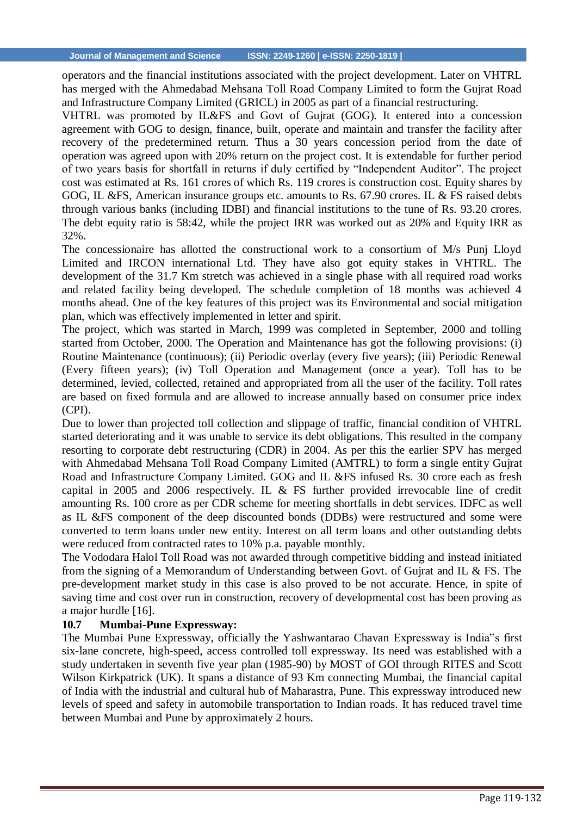operators and the financial institutions associated with the project development. Later on VHTRL has merged with the Ahmedabad Mehsana Toll Road Company Limited to form the Gujrat Road and Infrastructure Company Limited (GRICL) in 2005 as part of a financial restructuring.

VHTRL was promoted by IL&FS and Govt of Gujrat (GOG). It entered into a concession agreement with GOG to design, finance, built, operate and maintain and transfer the facility after recovery of the predetermined return. Thus a 30 years concession period from the date of operation was agreed upon with 20% return on the project cost. It is extendable for further period of two years basis for shortfall in returns if duly certified by "Independent Auditor". The project cost was estimated at Rs. 161 crores of which Rs. 119 crores is construction cost. Equity shares by GOG, IL &FS, American insurance groups etc. amounts to Rs. 67.90 crores. IL & FS raised debts through various banks (including IDBI) and financial institutions to the tune of Rs. 93.20 crores. The debt equity ratio is 58:42, while the project IRR was worked out as 20% and Equity IRR as 32%.

The concessionaire has allotted the constructional work to a consortium of M/s Punj Lloyd Limited and IRCON international Ltd. They have also got equity stakes in VHTRL. The development of the 31.7 Km stretch was achieved in a single phase with all required road works and related facility being developed. The schedule completion of 18 months was achieved 4 months ahead. One of the key features of this project was its Environmental and social mitigation plan, which was effectively implemented in letter and spirit.

The project, which was started in March, 1999 was completed in September, 2000 and tolling started from October, 2000. The Operation and Maintenance has got the following provisions: (i) Routine Maintenance (continuous); (ii) Periodic overlay (every five years); (iii) Periodic Renewal (Every fifteen years); (iv) Toll Operation and Management (once a year). Toll has to be determined, levied, collected, retained and appropriated from all the user of the facility. Toll rates are based on fixed formula and are allowed to increase annually based on consumer price index (CPI).

Due to lower than projected toll collection and slippage of traffic, financial condition of VHTRL started deteriorating and it was unable to service its debt obligations. This resulted in the company resorting to corporate debt restructuring (CDR) in 2004. As per this the earlier SPV has merged with Ahmedabad Mehsana Toll Road Company Limited (AMTRL) to form a single entity Gujrat Road and Infrastructure Company Limited. GOG and IL &FS infused Rs. 30 crore each as fresh capital in 2005 and 2006 respectively. IL & FS further provided irrevocable line of credit amounting Rs. 100 crore as per CDR scheme for meeting shortfalls in debt services. IDFC as well as IL &FS component of the deep discounted bonds (DDBs) were restructured and some were converted to term loans under new entity. Interest on all term loans and other outstanding debts were reduced from contracted rates to 10% p.a. payable monthly.

The Vododara Halol Toll Road was not awarded through competitive bidding and instead initiated from the signing of a Memorandum of Understanding between Govt. of Gujrat and IL & FS. The pre-development market study in this case is also proved to be not accurate. Hence, in spite of saving time and cost over run in construction, recovery of developmental cost has been proving as a major hurdle [16].

#### **10.7 Mumbai-Pune Expressway:**

The Mumbai Pune Expressway, officially the Yashwantarao Chavan Expressway is India"s first six-lane concrete, high-speed, access controlled toll expressway. Its need was established with a study undertaken in seventh five year plan (1985-90) by MOST of GOI through RITES and Scott Wilson Kirkpatrick (UK). It spans a distance of 93 Km connecting Mumbai, the financial capital of India with the industrial and cultural hub of Maharastra, Pune. This expressway introduced new levels of speed and safety in automobile transportation to Indian roads. It has reduced travel time between Mumbai and Pune by approximately 2 hours.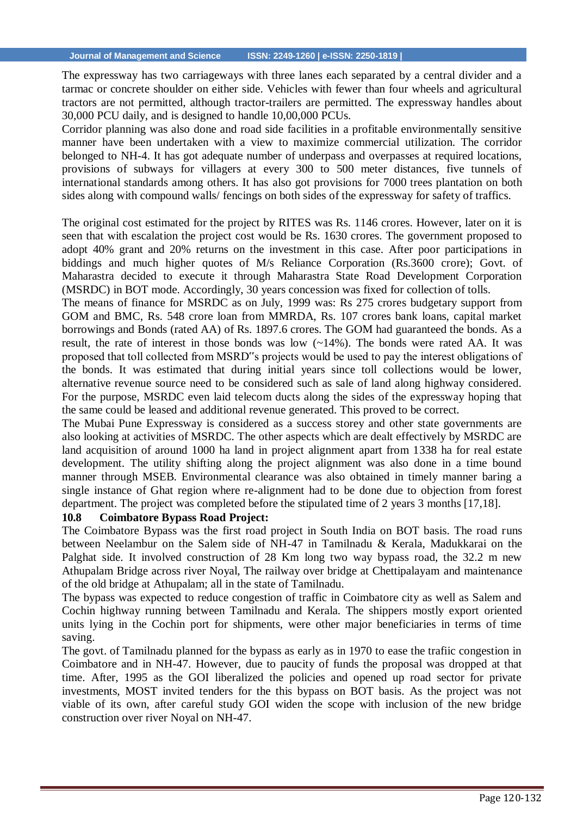The expressway has two carriageways with three lanes each separated by a central divider and a tarmac or concrete shoulder on either side. Vehicles with fewer than four wheels and agricultural tractors are not permitted, although tractor-trailers are permitted. The expressway handles about 30,000 PCU daily, and is designed to handle 10,00,000 PCUs.

Corridor planning was also done and road side facilities in a profitable environmentally sensitive manner have been undertaken with a view to maximize commercial utilization. The corridor belonged to NH-4. It has got adequate number of underpass and overpasses at required locations, provisions of subways for villagers at every 300 to 500 meter distances, five tunnels of international standards among others. It has also got provisions for 7000 trees plantation on both sides along with compound walls/ fencings on both sides of the expressway for safety of traffics.

The original cost estimated for the project by RITES was Rs. 1146 crores. However, later on it is seen that with escalation the project cost would be Rs. 1630 crores. The government proposed to adopt 40% grant and 20% returns on the investment in this case. After poor participations in biddings and much higher quotes of M/s Reliance Corporation (Rs.3600 crore); Govt. of Maharastra decided to execute it through Maharastra State Road Development Corporation (MSRDC) in BOT mode. Accordingly, 30 years concession was fixed for collection of tolls.

The means of finance for MSRDC as on July, 1999 was: Rs 275 crores budgetary support from GOM and BMC, Rs. 548 crore loan from MMRDA, Rs. 107 crores bank loans, capital market borrowings and Bonds (rated AA) of Rs. 1897.6 crores. The GOM had guaranteed the bonds. As a result, the rate of interest in those bonds was low (~14%). The bonds were rated AA. It was proposed that toll collected from MSRD"s projects would be used to pay the interest obligations of the bonds. It was estimated that during initial years since toll collections would be lower, alternative revenue source need to be considered such as sale of land along highway considered. For the purpose, MSRDC even laid telecom ducts along the sides of the expressway hoping that the same could be leased and additional revenue generated. This proved to be correct.

The Mubai Pune Expressway is considered as a success storey and other state governments are also looking at activities of MSRDC. The other aspects which are dealt effectively by MSRDC are land acquisition of around 1000 ha land in project alignment apart from 1338 ha for real estate development. The utility shifting along the project alignment was also done in a time bound manner through MSEB. Environmental clearance was also obtained in timely manner baring a single instance of Ghat region where re-alignment had to be done due to objection from forest department. The project was completed before the stipulated time of 2 years 3 months [17,18].

#### **10.8 Coimbatore Bypass Road Project:**

The Coimbatore Bypass was the first road project in South India on BOT basis. The road runs between Neelambur on the Salem side of NH-47 in Tamilnadu & Kerala, Madukkarai on the Palghat side. It involved construction of 28 Km long two way bypass road, the 32.2 m new Athupalam Bridge across river Noyal, The railway over bridge at Chettipalayam and maintenance of the old bridge at Athupalam; all in the state of Tamilnadu.

The bypass was expected to reduce congestion of traffic in Coimbatore city as well as Salem and Cochin highway running between Tamilnadu and Kerala. The shippers mostly export oriented units lying in the Cochin port for shipments, were other major beneficiaries in terms of time saving.

The govt. of Tamilnadu planned for the bypass as early as in 1970 to ease the trafiic congestion in Coimbatore and in NH-47. However, due to paucity of funds the proposal was dropped at that time. After, 1995 as the GOI liberalized the policies and opened up road sector for private investments, MOST invited tenders for the this bypass on BOT basis. As the project was not viable of its own, after careful study GOI widen the scope with inclusion of the new bridge construction over river Noyal on NH-47.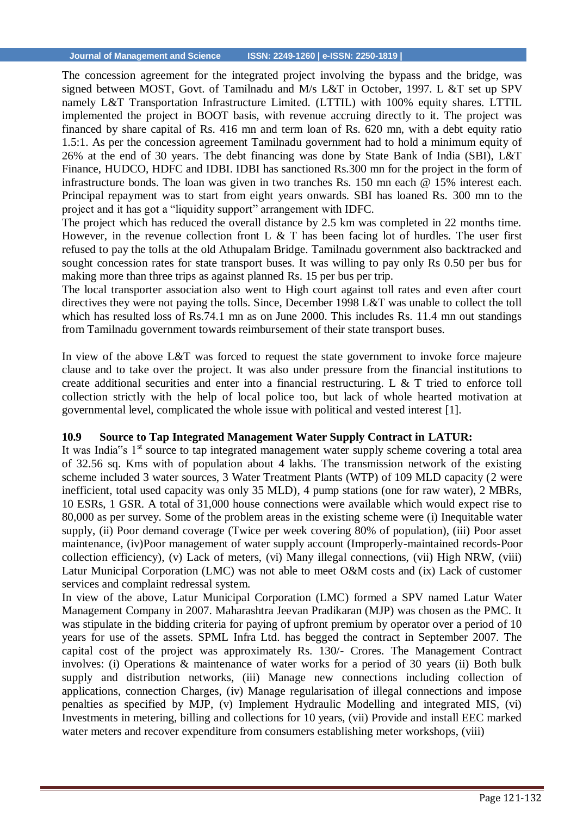The concession agreement for the integrated project involving the bypass and the bridge, was signed between MOST, Govt. of Tamilnadu and M/s L&T in October, 1997. L &T set up SPV namely L&T Transportation Infrastructure Limited. (LTTIL) with 100% equity shares. LTTIL implemented the project in BOOT basis, with revenue accruing directly to it. The project was financed by share capital of Rs. 416 mn and term loan of Rs. 620 mn, with a debt equity ratio 1.5:1. As per the concession agreement Tamilnadu government had to hold a minimum equity of 26% at the end of 30 years. The debt financing was done by State Bank of India (SBI), L&T Finance, HUDCO, HDFC and IDBI. IDBI has sanctioned Rs.300 mn for the project in the form of infrastructure bonds. The loan was given in two tranches Rs. 150 mn each @ 15% interest each. Principal repayment was to start from eight years onwards. SBI has loaned Rs. 300 mn to the project and it has got a "liquidity support" arrangement with IDFC.

The project which has reduced the overall distance by 2.5 km was completed in 22 months time. However, in the revenue collection front L  $\&$  T has been facing lot of hurdles. The user first refused to pay the tolls at the old Athupalam Bridge. Tamilnadu government also backtracked and sought concession rates for state transport buses. It was willing to pay only Rs 0.50 per bus for making more than three trips as against planned Rs. 15 per bus per trip.

The local transporter association also went to High court against toll rates and even after court directives they were not paying the tolls. Since, December 1998 L&T was unable to collect the toll which has resulted loss of Rs.74.1 mn as on June 2000. This includes Rs. 11.4 mn out standings from Tamilnadu government towards reimbursement of their state transport buses.

In view of the above L&T was forced to request the state government to invoke force majeure clause and to take over the project. It was also under pressure from the financial institutions to create additional securities and enter into a financial restructuring. L & T tried to enforce toll collection strictly with the help of local police too, but lack of whole hearted motivation at governmental level, complicated the whole issue with political and vested interest [1].

#### **10.9 Source to Tap Integrated Management Water Supply Contract in LATUR:**

It was India"s  $1<sup>st</sup>$  source to tap integrated management water supply scheme covering a total area of 32.56 sq. Kms with of population about 4 lakhs. The transmission network of the existing scheme included 3 water sources, 3 Water Treatment Plants (WTP) of 109 MLD capacity (2 were inefficient, total used capacity was only 35 MLD), 4 pump stations (one for raw water), 2 MBRs, 10 ESRs, 1 GSR. A total of 31,000 house connections were available which would expect rise to 80,000 as per survey. Some of the problem areas in the existing scheme were (i) Inequitable water supply, (ii) Poor demand coverage (Twice per week covering 80% of population), (iii) Poor asset maintenance, (iv)Poor management of water supply account (Improperly-maintained records-Poor collection efficiency), (v) Lack of meters, (vi) Many illegal connections, (vii) High NRW, (viii) Latur Municipal Corporation (LMC) was not able to meet O&M costs and (ix) Lack of customer services and complaint redressal system.

In view of the above, Latur Municipal Corporation (LMC) formed a SPV named Latur Water Management Company in 2007. Maharashtra Jeevan Pradikaran (MJP) was chosen as the PMC. It was stipulate in the bidding criteria for paying of upfront premium by operator over a period of 10 years for use of the assets. SPML Infra Ltd. has begged the contract in September 2007. The capital cost of the project was approximately Rs. 130/- Crores. The Management Contract involves: (i) Operations & maintenance of water works for a period of 30 years (ii) Both bulk supply and distribution networks, (iii) Manage new connections including collection of applications, connection Charges, (iv) Manage regularisation of illegal connections and impose penalties as specified by MJP, (v) Implement Hydraulic Modelling and integrated MIS, (vi) Investments in metering, billing and collections for 10 years, (vii) Provide and install EEC marked water meters and recover expenditure from consumers establishing meter workshops, (viii)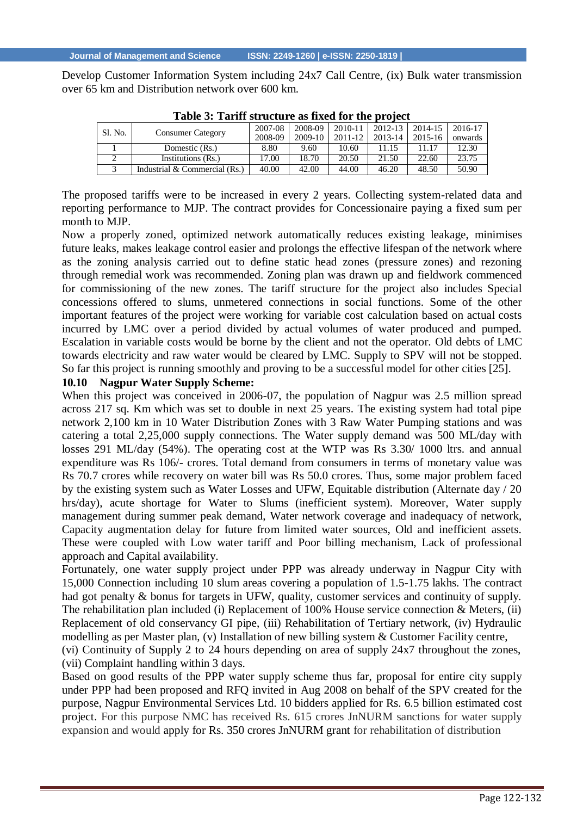Develop Customer Information System including 24x7 Call Centre, (ix) Bulk water transmission over 65 km and Distribution network over 600 km.

| Sl. No. | <b>Consumer Category</b>        | 2007-08<br>2008-09 | 2008-09<br>2009-10 | 2010-11<br>$2011 - 12$ | 2012-13<br>2013-14 | 2014-15<br>2015-16 | 2016-17<br>onwards |
|---------|---------------------------------|--------------------|--------------------|------------------------|--------------------|--------------------|--------------------|
|         |                                 |                    |                    |                        |                    |                    |                    |
|         | Domestic (Rs.)                  | 8.80               | 9.60               | 10.60                  | 11 15              | 11.17              | 12.30              |
|         | Institutions (Rs.)              | 17.00              | 18.70              | 20.50                  | 21.50              | 22.60              | 23.75              |
|         | Industrial $&$ Commercial (Rs.) | 40.00              | 42.00              | 44.00                  | 46.20              | 48.50              | 50.90              |
|         |                                 |                    |                    |                        |                    |                    |                    |

| Table 3: Tariff structure as fixed for the project |  |
|----------------------------------------------------|--|
|----------------------------------------------------|--|

The proposed tariffs were to be increased in every 2 years. Collecting system-related data and reporting performance to MJP. The contract provides for Concessionaire paying a fixed sum per month to MJP.

Now a properly zoned, optimized network automatically reduces existing leakage, minimises future leaks, makes leakage control easier and prolongs the effective lifespan of the network where as the zoning analysis carried out to define static head zones (pressure zones) and rezoning through remedial work was recommended. Zoning plan was drawn up and fieldwork commenced for commissioning of the new zones. The tariff structure for the project also includes Special concessions offered to slums, unmetered connections in social functions. Some of the other important features of the project were working for variable cost calculation based on actual costs incurred by LMC over a period divided by actual volumes of water produced and pumped. Escalation in variable costs would be borne by the client and not the operator. Old debts of LMC towards electricity and raw water would be cleared by LMC. Supply to SPV will not be stopped. So far this project is running smoothly and proving to be a successful model for other cities [25].

#### **10.10 Nagpur Water Supply Scheme:**

When this project was conceived in 2006-07, the population of Nagpur was 2.5 million spread across 217 sq. Km which was set to double in next 25 years. The existing system had total pipe network 2,100 km in 10 Water Distribution Zones with 3 Raw Water Pumping stations and was catering a total 2,25,000 supply connections. The Water supply demand was 500 ML/day with losses 291 ML/day (54%). The operating cost at the WTP was Rs 3.30/ 1000 ltrs. and annual expenditure was Rs 106/- crores. Total demand from consumers in terms of monetary value was Rs 70.7 crores while recovery on water bill was Rs 50.0 crores. Thus, some major problem faced by the existing system such as Water Losses and UFW, Equitable distribution (Alternate day / 20 hrs/day), acute shortage for Water to Slums (inefficient system). Moreover, Water supply management during summer peak demand, Water network coverage and inadequacy of network, Capacity augmentation delay for future from limited water sources, Old and inefficient assets. These were coupled with Low water tariff and Poor billing mechanism, Lack of professional approach and Capital availability.

Fortunately, one water supply project under PPP was already underway in Nagpur City with 15,000 Connection including 10 slum areas covering a population of 1.5-1.75 lakhs. The contract had got penalty & bonus for targets in UFW, quality, customer services and continuity of supply. The rehabilitation plan included (i) Replacement of 100% House service connection  $\&$  Meters, (ii) Replacement of old conservancy GI pipe, (iii) Rehabilitation of Tertiary network, (iv) Hydraulic modelling as per Master plan, (v) Installation of new billing system & Customer Facility centre, (vi) Continuity of Supply 2 to 24 hours depending on area of supply 24x7 throughout the zones, (vii) Complaint handling within 3 days.

Based on good results of the PPP water supply scheme thus far, proposal for entire city supply under PPP had been proposed and RFQ invited in Aug 2008 on behalf of the SPV created for the purpose, Nagpur Environmental Services Ltd. 10 bidders applied for Rs. 6.5 billion estimated cost project. For this purpose NMC has received Rs. 615 crores JnNURM sanctions for water supply expansion and would apply for Rs. 350 crores JnNURM grant for rehabilitation of distribution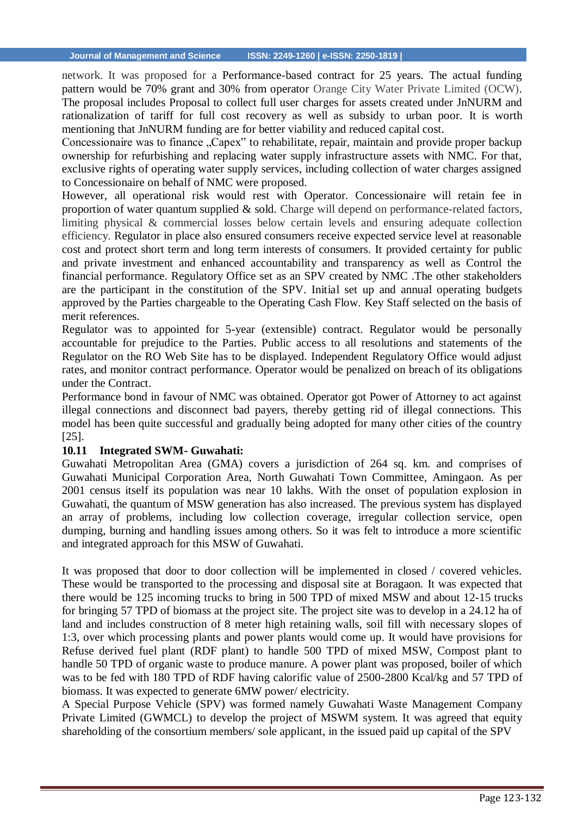network. It was proposed for a Performance-based contract for 25 years. The actual funding pattern would be 70% grant and 30% from operator Orange City Water Private Limited (OCW). The proposal includes Proposal to collect full user charges for assets created under JnNURM and rationalization of tariff for full cost recovery as well as subsidy to urban poor. It is worth mentioning that JnNURM funding are for better viability and reduced capital cost.

Concessionaire was to finance "Capex" to rehabilitate, repair, maintain and provide proper backup ownership for refurbishing and replacing water supply infrastructure assets with NMC. For that, exclusive rights of operating water supply services, including collection of water charges assigned to Concessionaire on behalf of NMC were proposed.

However, all operational risk would rest with Operator. Concessionaire will retain fee in proportion of water quantum supplied  $\&$  sold. Charge will depend on performance-related factors, limiting physical & commercial losses below certain levels and ensuring adequate collection efficiency. Regulator in place also ensured consumers receive expected service level at reasonable cost and protect short term and long term interests of consumers. It provided certainty for public and private investment and enhanced accountability and transparency as well as Control the financial performance. Regulatory Office set as an SPV created by NMC .The other stakeholders are the participant in the constitution of the SPV. Initial set up and annual operating budgets approved by the Parties chargeable to the Operating Cash Flow. Key Staff selected on the basis of merit references.

Regulator was to appointed for 5-year (extensible) contract. Regulator would be personally accountable for prejudice to the Parties. Public access to all resolutions and statements of the Regulator on the RO Web Site has to be displayed. Independent Regulatory Office would adjust rates, and monitor contract performance. Operator would be penalized on breach of its obligations under the Contract.

Performance bond in favour of NMC was obtained. Operator got Power of Attorney to act against illegal connections and disconnect bad payers, thereby getting rid of illegal connections. This model has been quite successful and gradually being adopted for many other cities of the country [25].

#### **10.11 Integrated SWM- Guwahati:**

Guwahati Metropolitan Area (GMA) covers a jurisdiction of 264 sq. km. and comprises of Guwahati Municipal Corporation Area, North Guwahati Town Committee, Amingaon. As per 2001 census itself its population was near 10 lakhs. With the onset of population explosion in Guwahati, the quantum of MSW generation has also increased. The previous system has displayed an array of problems, including low collection coverage, irregular collection service, open dumping, burning and handling issues among others. So it was felt to introduce a more scientific and integrated approach for this MSW of Guwahati.

It was proposed that door to door collection will be implemented in closed / covered vehicles. These would be transported to the processing and disposal site at Boragaon. It was expected that there would be 125 incoming trucks to bring in 500 TPD of mixed MSW and about 12-15 trucks for bringing 57 TPD of biomass at the project site. The project site was to develop in a 24.12 ha of land and includes construction of 8 meter high retaining walls, soil fill with necessary slopes of 1:3, over which processing plants and power plants would come up. It would have provisions for Refuse derived fuel plant (RDF plant) to handle 500 TPD of mixed MSW, Compost plant to handle 50 TPD of organic waste to produce manure. A power plant was proposed, boiler of which was to be fed with 180 TPD of RDF having calorific value of 2500-2800 Kcal/kg and 57 TPD of biomass. It was expected to generate 6MW power/ electricity.

A Special Purpose Vehicle (SPV) was formed namely Guwahati Waste Management Company Private Limited (GWMCL) to develop the project of MSWM system. It was agreed that equity shareholding of the consortium members/ sole applicant, in the issued paid up capital of the SPV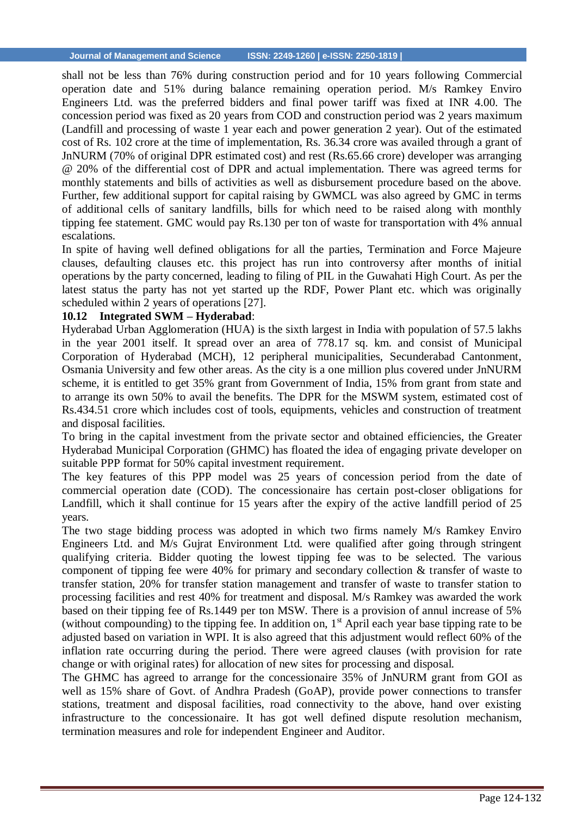shall not be less than 76% during construction period and for 10 years following Commercial operation date and 51% during balance remaining operation period. M/s Ramkey Enviro Engineers Ltd. was the preferred bidders and final power tariff was fixed at INR 4.00. The concession period was fixed as 20 years from COD and construction period was 2 years maximum (Landfill and processing of waste 1 year each and power generation 2 year). Out of the estimated cost of Rs. 102 crore at the time of implementation, Rs. 36.34 crore was availed through a grant of JnNURM (70% of original DPR estimated cost) and rest (Rs.65.66 crore) developer was arranging @ 20% of the differential cost of DPR and actual implementation. There was agreed terms for monthly statements and bills of activities as well as disbursement procedure based on the above. Further, few additional support for capital raising by GWMCL was also agreed by GMC in terms of additional cells of sanitary landfills, bills for which need to be raised along with monthly tipping fee statement. GMC would pay Rs.130 per ton of waste for transportation with 4% annual escalations.

In spite of having well defined obligations for all the parties, Termination and Force Majeure clauses, defaulting clauses etc. this project has run into controversy after months of initial operations by the party concerned, leading to filing of PIL in the Guwahati High Court. As per the latest status the party has not yet started up the RDF, Power Plant etc. which was originally scheduled within 2 years of operations [27].

# **10.12 Integrated SWM – Hyderabad**:

Hyderabad Urban Agglomeration (HUA) is the sixth largest in India with population of 57.5 lakhs in the year 2001 itself. It spread over an area of 778.17 sq. km. and consist of Municipal Corporation of Hyderabad (MCH), 12 peripheral municipalities, Secunderabad Cantonment, Osmania University and few other areas. As the city is a one million plus covered under JnNURM scheme, it is entitled to get 35% grant from Government of India, 15% from grant from state and to arrange its own 50% to avail the benefits. The DPR for the MSWM system, estimated cost of Rs.434.51 crore which includes cost of tools, equipments, vehicles and construction of treatment and disposal facilities.

To bring in the capital investment from the private sector and obtained efficiencies, the Greater Hyderabad Municipal Corporation (GHMC) has floated the idea of engaging private developer on suitable PPP format for 50% capital investment requirement.

The key features of this PPP model was 25 years of concession period from the date of commercial operation date (COD). The concessionaire has certain post-closer obligations for Landfill, which it shall continue for 15 years after the expiry of the active landfill period of 25 years.

The two stage bidding process was adopted in which two firms namely M/s Ramkey Enviro Engineers Ltd. and M/s Gujrat Environment Ltd. were qualified after going through stringent qualifying criteria. Bidder quoting the lowest tipping fee was to be selected. The various component of tipping fee were 40% for primary and secondary collection & transfer of waste to transfer station, 20% for transfer station management and transfer of waste to transfer station to processing facilities and rest 40% for treatment and disposal. M/s Ramkey was awarded the work based on their tipping fee of Rs.1449 per ton MSW. There is a provision of annul increase of 5% (without compounding) to the tipping fee. In addition on,  $1<sup>st</sup>$  April each year base tipping rate to be adjusted based on variation in WPI. It is also agreed that this adjustment would reflect 60% of the inflation rate occurring during the period. There were agreed clauses (with provision for rate change or with original rates) for allocation of new sites for processing and disposal.

The GHMC has agreed to arrange for the concessionaire 35% of JnNURM grant from GOI as well as 15% share of Govt. of Andhra Pradesh (GoAP), provide power connections to transfer stations, treatment and disposal facilities, road connectivity to the above, hand over existing infrastructure to the concessionaire. It has got well defined dispute resolution mechanism, termination measures and role for independent Engineer and Auditor.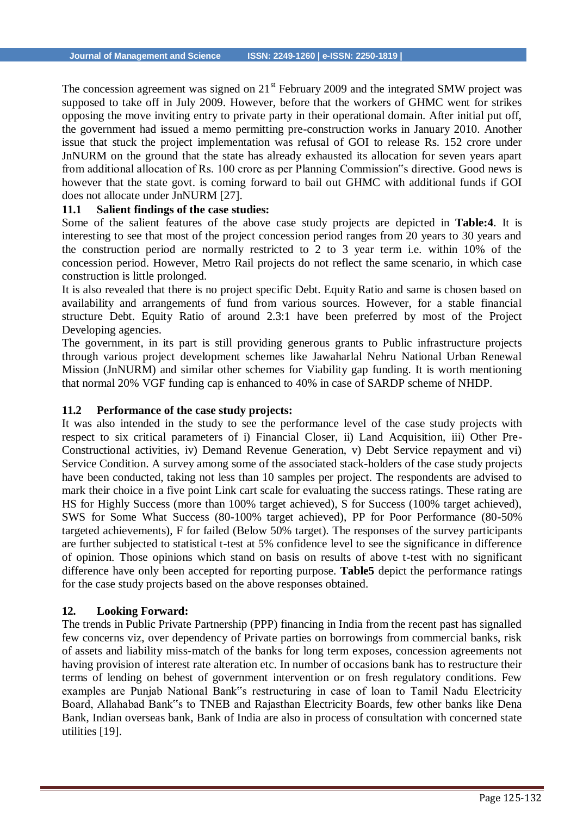The concession agreement was signed on  $21<sup>st</sup>$  February 2009 and the integrated SMW project was supposed to take off in July 2009. However, before that the workers of GHMC went for strikes opposing the move inviting entry to private party in their operational domain. After initial put off, the government had issued a memo permitting pre-construction works in January 2010. Another issue that stuck the project implementation was refusal of GOI to release Rs. 152 crore under JnNURM on the ground that the state has already exhausted its allocation for seven years apart from additional allocation of Rs. 100 crore as per Planning Commission"s directive. Good news is however that the state govt. is coming forward to bail out GHMC with additional funds if GOI does not allocate under JnNURM [27].

#### **11.1 Salient findings of the case studies:**

Some of the salient features of the above case study projects are depicted in **Table:4**. It is interesting to see that most of the project concession period ranges from 20 years to 30 years and the construction period are normally restricted to 2 to 3 year term i.e. within 10% of the concession period. However, Metro Rail projects do not reflect the same scenario, in which case construction is little prolonged.

It is also revealed that there is no project specific Debt. Equity Ratio and same is chosen based on availability and arrangements of fund from various sources. However, for a stable financial structure Debt. Equity Ratio of around 2.3:1 have been preferred by most of the Project Developing agencies.

The government, in its part is still providing generous grants to Public infrastructure projects through various project development schemes like Jawaharlal Nehru National Urban Renewal Mission (JnNURM) and similar other schemes for Viability gap funding. It is worth mentioning that normal 20% VGF funding cap is enhanced to 40% in case of SARDP scheme of NHDP.

#### **11.2 Performance of the case study projects:**

It was also intended in the study to see the performance level of the case study projects with respect to six critical parameters of i) Financial Closer, ii) Land Acquisition, iii) Other Pre-Constructional activities, iv) Demand Revenue Generation, v) Debt Service repayment and vi) Service Condition. A survey among some of the associated stack-holders of the case study projects have been conducted, taking not less than 10 samples per project. The respondents are advised to mark their choice in a five point Link cart scale for evaluating the success ratings. These rating are HS for Highly Success (more than 100% target achieved), S for Success (100% target achieved), SWS for Some What Success (80-100% target achieved), PP for Poor Performance (80-50% targeted achievements), F for failed (Below 50% target). The responses of the survey participants are further subjected to statistical t-test at 5% confidence level to see the significance in difference of opinion. Those opinions which stand on basis on results of above t-test with no significant difference have only been accepted for reporting purpose. **Table5** depict the performance ratings for the case study projects based on the above responses obtained.

#### **12. Looking Forward:**

The trends in Public Private Partnership (PPP) financing in India from the recent past has signalled few concerns viz, over dependency of Private parties on borrowings from commercial banks, risk of assets and liability miss-match of the banks for long term exposes, concession agreements not having provision of interest rate alteration etc. In number of occasions bank has to restructure their terms of lending on behest of government intervention or on fresh regulatory conditions. Few examples are Punjab National Bank"s restructuring in case of loan to Tamil Nadu Electricity Board, Allahabad Bank"s to TNEB and Rajasthan Electricity Boards, few other banks like Dena Bank, Indian overseas bank, Bank of India are also in process of consultation with concerned state utilities [19].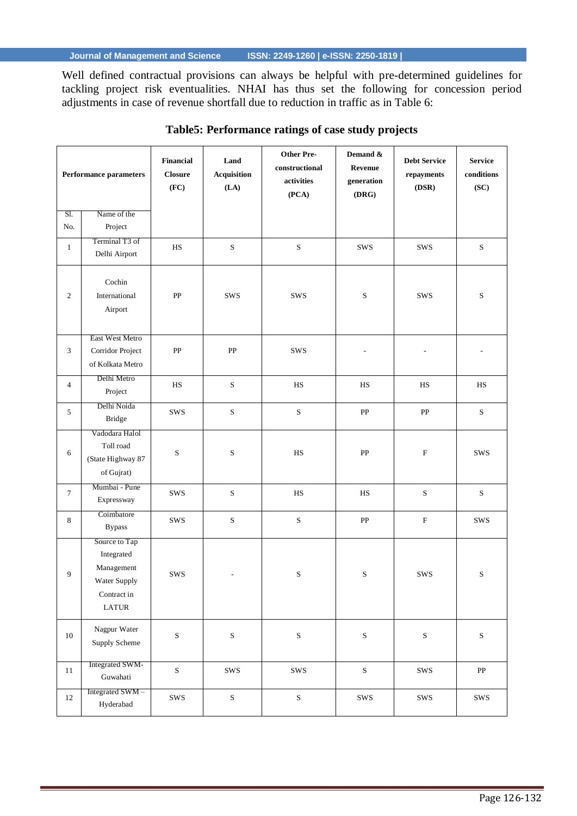Well defined contractual provisions can always be helpful with pre-determined guidelines for tackling project risk eventualities. NHAI has thus set the following for concession period adjustments in case of revenue shortfall due to reduction in traffic as in Table 6:

| Performance parameters |                                                                                                         | <b>Financial</b><br><b>Closure</b><br>(FC) | Land<br><b>Acquisition</b><br>(LA) | <b>Other Pre-</b><br>constructional<br>activities<br>(PCA) | Demand &<br><b>Revenue</b><br>generation<br>(DRG) | <b>Debt Service</b><br>repayments<br>(DSR) | <b>Service</b><br>conditions<br>(SC) |
|------------------------|---------------------------------------------------------------------------------------------------------|--------------------------------------------|------------------------------------|------------------------------------------------------------|---------------------------------------------------|--------------------------------------------|--------------------------------------|
| SI.                    | Name of the                                                                                             |                                            |                                    |                                                            |                                                   |                                            |                                      |
| No.                    | Project                                                                                                 |                                            |                                    |                                                            |                                                   |                                            |                                      |
| $\mathbf{1}$           | Terminal T3 of<br>Delhi Airport                                                                         | HS                                         | ${\bf S}$                          | $\mathbf S$                                                | SWS                                               | SWS                                        | S                                    |
| $\overline{c}$         | Cochin<br>International<br>Airport                                                                      | ${\rm PP}$                                 | <b>SWS</b>                         | <b>SWS</b>                                                 | $\mathbf S$                                       | SWS                                        | ${\bf S}$                            |
| 3                      | East West Metro<br>Corridor Project<br>of Kolkata Metro                                                 | PP                                         | PP                                 | SWS                                                        |                                                   |                                            |                                      |
| $\overline{4}$         | Delhi Metro<br>Project                                                                                  | $_{\rm HS}$                                | ${\bf S}$                          | $_{\rm HS}$                                                | $_{\rm HS}$                                       | $_{\rm HS}$                                | $_{\rm HS}$                          |
| $\sqrt{5}$             | Delhi Noida<br><b>Bridge</b>                                                                            | SWS                                        | $\mathbf S$                        | $\mathbf S$                                                | ${\rm PP}$                                        | ${\rm PP}$                                 | ${\bf S}$                            |
| $\sqrt{6}$             | Vadodara Halol<br>Toll road<br>(State Highway 87<br>of Gujrat)                                          | $\rm S$                                    | ${\bf S}$                          | HS                                                         | PP                                                | $\mathbf F$                                | SWS                                  |
| $\tau$                 | Mumbai - Pune<br>Expressway                                                                             | SWS                                        | ${\bf S}$                          | $_{\rm HS}$                                                | <b>HS</b>                                         | $\mathbf S$                                | ${\bf S}$                            |
| 8                      | Coimbatore<br><b>Bypass</b>                                                                             | SWS                                        | ${\bf S}$                          | $\mathbf S$                                                | ${\rm PP}$                                        | ${\bf F}$                                  | SWS                                  |
| 9                      | Source to Tap<br>Integrated<br>Management<br>Water Supply<br>Contract in<br>$\ensuremath{\text{LATUR}}$ | <b>SWS</b>                                 | $\overline{\phantom{a}}$           | ${\bf S}$                                                  | ${\bf S}$                                         | SWS                                        | ${\bf S}$                            |
| 10                     | Nagpur Water<br>Supply Scheme                                                                           | $\mathbf S$                                | ${\bf S}$                          | $\mathbf S$                                                | ${\bf S}$                                         | ${\bf S}$                                  | ${\bf S}$                            |
| 11                     | Integrated SWM-<br>Guwahati                                                                             | ${\bf S}$                                  | SWS                                | ${\rm SWS}$                                                | ${\bf S}$                                         | ${\rm SWS}$                                | ${\bf PP}$                           |
| 12                     | Integrated SWM-<br>Hyderabad                                                                            | ${\rm SWS}$                                | ${\bf S}$                          | ${\bf S}$                                                  | SWS                                               | SWS                                        | SWS                                  |

# **Table5: Performance ratings of case study projects**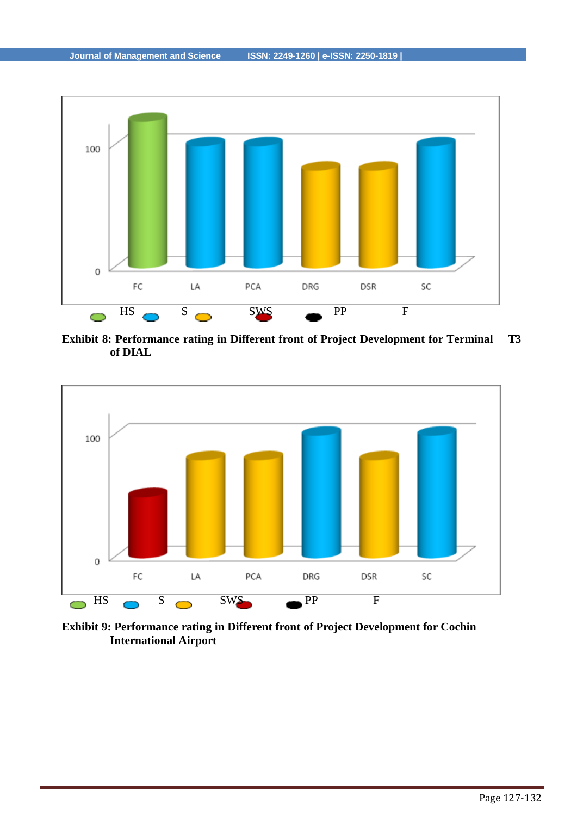

**Exhibit 8: Performance rating in Different front of Project Development for Terminal T3 of DIAL**



**Exhibit 9: Performance rating in Different front of Project Development for Cochin International Airport**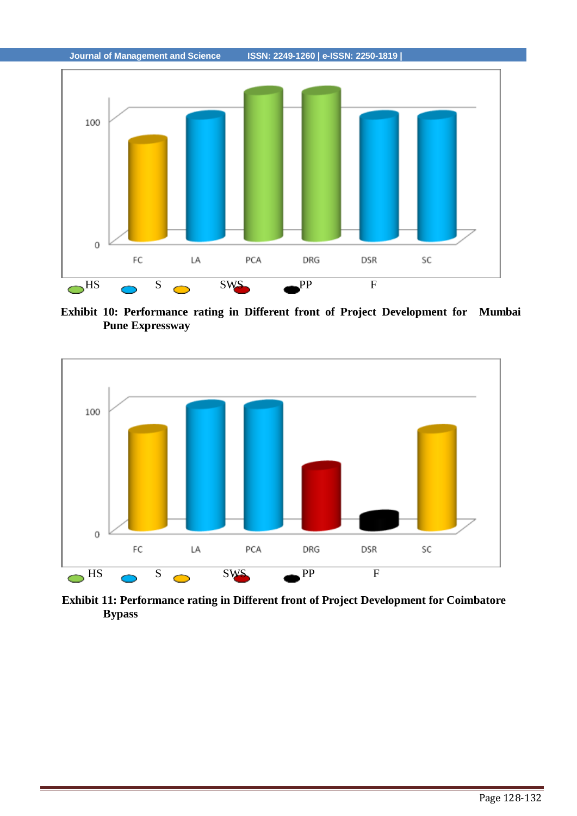

**Exhibit 10: Performance rating in Different front of Project Development for Mumbai Pune Expressway**



**Exhibit 11: Performance rating in Different front of Project Development for Coimbatore Bypass**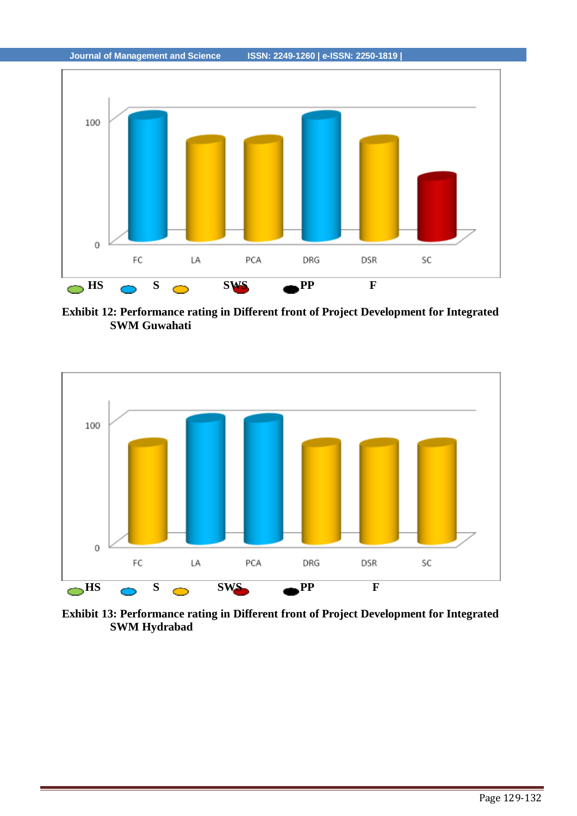

**Exhibit 12: Performance rating in Different front of Project Development for Integrated SWM Guwahati**



**Exhibit 13: Performance rating in Different front of Project Development for Integrated SWM Hydrabad**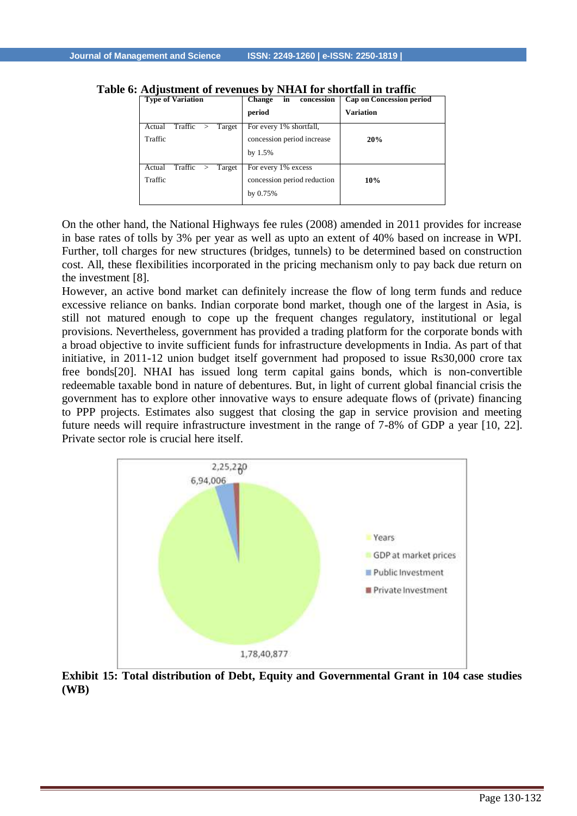| <b>Type of Variation</b>                         | in<br><b>Change</b><br>concession<br>period                           | <b>Cap on Concession period</b><br><b>Variation</b> |
|--------------------------------------------------|-----------------------------------------------------------------------|-----------------------------------------------------|
| Traffic<br>Actual<br>Target<br>><br>Traffic      | For every $1\%$ shortfall,<br>concession period increase<br>by $1.5%$ | 20%                                                 |
| Traffic<br>Actual<br>Target<br>$\geq$<br>Traffic | For every 1% excess<br>concession period reduction<br>by 0.75%        | 10%                                                 |

**Table 6: Adjustment of revenues by NHAI for shortfall in traffic**

On the other hand, the National Highways fee rules (2008) amended in 2011 provides for increase in base rates of tolls by 3% per year as well as upto an extent of 40% based on increase in WPI. Further, toll charges for new structures (bridges, tunnels) to be determined based on construction cost. All, these flexibilities incorporated in the pricing mechanism only to pay back due return on the investment [8].

However, an active bond market can definitely increase the flow of long term funds and reduce excessive reliance on banks. Indian corporate bond market, though one of the largest in Asia, is still not matured enough to cope up the frequent changes regulatory, institutional or legal provisions. Nevertheless, government has provided a trading platform for the corporate bonds with a broad objective to invite sufficient funds for infrastructure developments in India. As part of that initiative, in 2011-12 union budget itself government had proposed to issue Rs30,000 crore tax free bonds[20]. NHAI has issued long term capital gains bonds, which is non-convertible redeemable taxable bond in nature of debentures. But, in light of current global financial crisis the government has to explore other innovative ways to ensure adequate flows of (private) financing to PPP projects. Estimates also suggest that closing the gap in service provision and meeting future needs will require infrastructure investment in the range of 7-8% of GDP a year [10, 22]. Private sector role is crucial here itself.



**Exhibit 15: Total distribution of Debt, Equity and Governmental Grant in 104 case studies (WB)**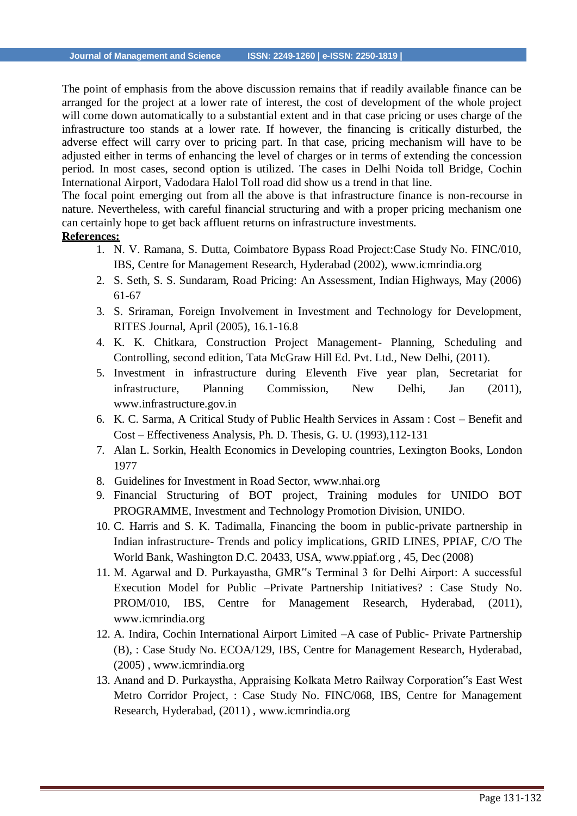The point of emphasis from the above discussion remains that if readily available finance can be arranged for the project at a lower rate of interest, the cost of development of the whole project will come down automatically to a substantial extent and in that case pricing or uses charge of the infrastructure too stands at a lower rate. If however, the financing is critically disturbed, the adverse effect will carry over to pricing part. In that case, pricing mechanism will have to be adjusted either in terms of enhancing the level of charges or in terms of extending the concession period. In most cases, second option is utilized. The cases in Delhi Noida toll Bridge, Cochin International Airport, Vadodara Halol Toll road did show us a trend in that line.

The focal point emerging out from all the above is that infrastructure finance is non-recourse in nature. Nevertheless, with careful financial structuring and with a proper pricing mechanism one can certainly hope to get back affluent returns on infrastructure investments.

#### **References:**

- 1. N. V. Ramana, S. Dutta, Coimbatore Bypass Road Project:Case Study No. FINC/010, IBS, Centre for Management Research, Hyderabad (2002), [www.icmrindia.org](http://www.icmrindia.org/)
- 2. S. Seth, S. S. Sundaram, Road Pricing: An Assessment, Indian Highways, May (2006) 61-67
- 3. S. Sriraman, Foreign Involvement in Investment and Technology for Development, RITES Journal, April (2005), 16.1-16.8
- 4. K. K. Chitkara, Construction Project Management- Planning, Scheduling and Controlling, second edition, Tata McGraw Hill Ed. Pvt. Ltd., New Delhi, (2011).
- 5. Investment in infrastructure during Eleventh Five year plan, Secretariat for infrastructure, Planning Commission, New Delhi, Jan (2011), [www.infrastructure.gov.in](http://www.infrastructure.gov.in/)
- 6. K. C. Sarma, A Critical Study of Public Health Services in Assam : Cost Benefit and Cost – Effectiveness Analysis, Ph. D. Thesis, G. U. (1993),112-131
- 7. Alan L. Sorkin, Health Economics in Developing countries*,* Lexington Books, London 1977
- 8. Guidelines for Investment in Road Sector, [www.nhai.org](http://www.nhai.org/)
- 9. Financial Structuring of BOT project, Training modules for UNIDO BOT PROGRAMME, Investment and Technology Promotion Division, UNIDO.
- 10. C. Harris and S. K. Tadimalla, Financing the boom in public-private partnership in Indian infrastructure- Trends and policy implications*,* GRID LINES, PPIAF, C/O The World Bank, Washington D.C. 20433, USA, [www.ppiaf.org ,](http://www.ppiaf.org/) 45, Dec (2008)
- 11. M. Agarwal and D. Purkayastha, GMR"s Terminal 3 for Delhi Airport: A successful Execution Model for Public –Private Partnership Initiatives? : Case Study No. PROM/010, IBS, Centre for Management Research, Hyderabad, (2011), [www.icmrindia.org](http://www.icmrindia.org/)
- 12. A. Indira, Cochin International Airport Limited –A case of Public- Private Partnership (B), : Case Study No. ECOA/129, IBS, Centre for Management Research, Hyderabad, (2005) , [www.icmrindia.org](http://www.icmrindia.org/)
- 13. Anand and D. Purkaystha, Appraising Kolkata Metro Railway Corporation"s East West Metro Corridor Project, : Case Study No. FINC/068, IBS, Centre for Management Research, Hyderabad, (2011) , [www.icmrindia.org](http://www.icmrindia.org/)